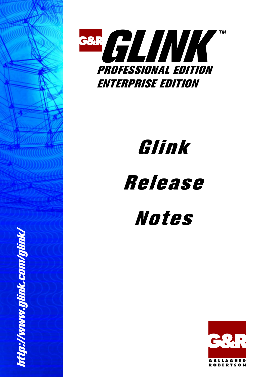



# **Glink**

# **Release**

# **Notes**

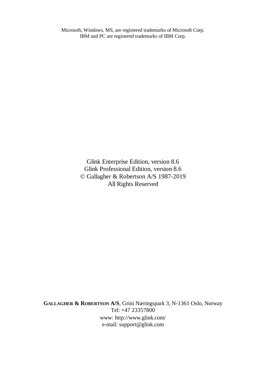Microsoft, Windows, MS, are registered trademarks of Microsoft Corp. IBM and PC are registered trademarks of IBM Corp.

> Glink Enterprise Edition, version 8.6 Glink Professional Edition, version 8.6 © Gallagher & Robertson A/S 1987-2019 All Rights Reserved

**GALLAGHER & ROBERTSON A/S**, Grini Næringspark 3, N-1361 Oslo, Norway Tel: +47 23357800 www: http://www.glink.com/ e-mail: support@glink.com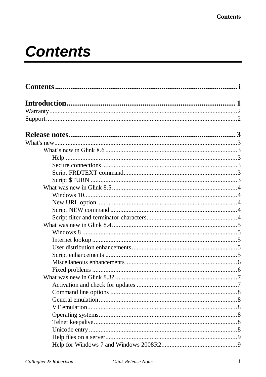## **Contents**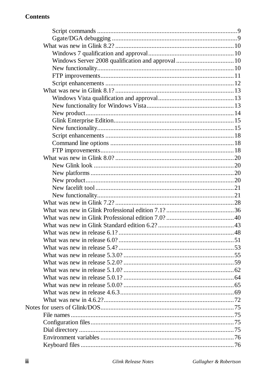#### **Contents**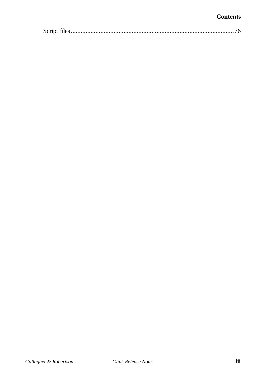#### **Contents**

|--|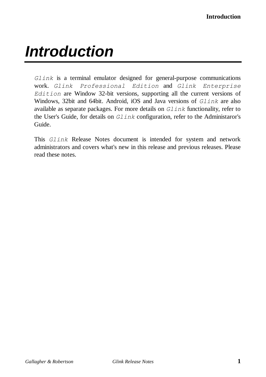# *Introduction*

*Glink* is a terminal emulator designed for general-purpose communications work. *Glink Professional Edition* and *Glink Enterprise Edition* are Window 32-bit versions, supporting all the current versions of Windows, 32bit and 64bit. Android, iOS and Java versions of *Glink* are also available as separate packages. For more details on *Glink* functionality, refer to the User's Guide, for details on *Glink* configuration, refer to the Administaror's Guide.

This *Glink* Release Notes document is intended for system and network administrators and covers what's new in this release and previous releases. Please read these notes.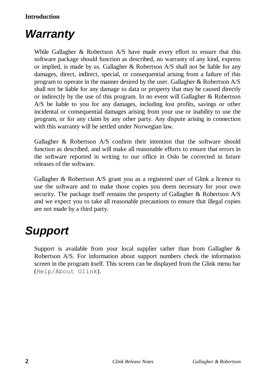#### **Introduction**

## *Warranty*

While Gallagher & Robertson A/S have made every effort to ensure that this software package should function as described, no warranty of any kind, express or implied, is made by us. Gallagher & Robertson A/S shall not be liable for any damages, direct, indirect, special, or consequential arising from a failure of this program to operate in the manner desired by the user. Gallagher & Robertson A/S shall not be liable for any damage to data or property that may be caused directly or indirectly by the use of this program. In no event will Gallagher & Robertson A/S be liable to you for any damages, including lost profits, savings or other incidental or consequential damages arising from your use or inability to use the program, or for any claim by any other party. Any dispute arising in connection with this warranty will be settled under Norwegian law.

Gallagher & Robertson A/S confirm their intention that the software should function as described, and will make all reasonable efforts to ensure that errors in the software reported in writing to our office in Oslo be corrected in future releases of the software.

Gallagher & Robertson A/S grant you as a registered user of Glink a licence to use the software and to make those copies you deem necessary for your own security. The package itself remains the property of Gallagher & Robertson A/S and we expect you to take all reasonable precautions to ensure that illegal copies are not made by a third party.

## *Support*

Support is available from your local supplier rather than from Gallagher & Robertson A/S. For information about support numbers check the information screen in the program itself. This screen can be displayed from the Glink menu bar (Help/About Glink).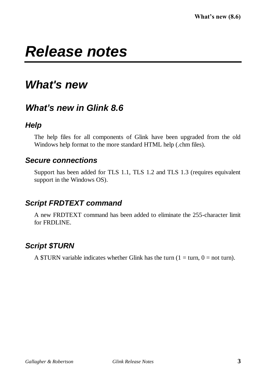## *Release notes*

## *What's new*

## *What's new in Glink 8.6*

## *Help*

The help files for all components of Glink have been upgraded from the old Windows help format to the more standard HTML help (.chm files).

## *Secure connections*

Support has been added for TLS 1.1, TLS 1.2 and TLS 1.3 (requires equivalent support in the Windows OS).

## *Script FRDTEXT command*

A new FRDTEXT command has been added to eliminate the 255-character limit for FRDLINE.

## *Script \$TURN*

A \$TURN variable indicates whether Glink has the turn  $(1 = \text{turn}, 0 = \text{not turn})$ .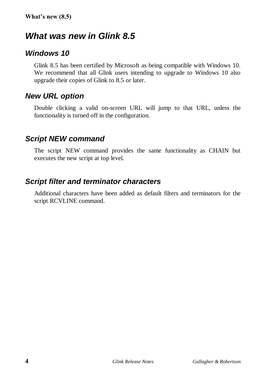## *What was new in Glink 8.5*

## *Windows 10*

Glink 8.5 has been certified by Microsoft as being compatible with Windows 10. We recommend that all Glink users intending to upgrade to Windows 10 also upgrade their copies of Glink to 8.5 or later.

## *New URL option*

Double clicking a valid on-screen URL will jump to that URL, unless the functionality is turned off in the configuration.

## *Script NEW command*

The script NEW command provides the same functionality as CHAIN but executes the new script at top level.

## *Script filter and terminator characters*

Additional characters have been added as default filters and terminators for the script RCVLINE command.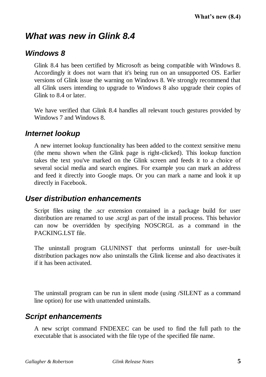## *What was new in Glink 8.4*

## *Windows 8*

Glink 8.4 has been certified by Microsoft as being compatible with Windows 8. Accordingly it does not warn that it's being run on an unsupported OS. Earlier versions of Glink issue the warning on Windows 8. We strongly recommend that all Glink users intending to upgrade to Windows 8 also upgrade their copies of Glink to 8.4 or later.

We have verified that Glink 8.4 handles all relevant touch gestures provided by Windows 7 and Windows 8.

## *Internet lookup*

A new internet lookup functionality has been added to the context sensitive menu (the menu shown when the Glink page is right-clicked). This lookup function takes the text you've marked on the Glink screen and feeds it to a choice of several social media and search engines. For example you can mark an address and feed it directly into Google maps. Or you can mark a name and look it up directly in Facebook.

### *User distribution enhancements*

Script files using the .scr extension contained in a package build for user distribution are renamed to use .scrgl as part of the install process. This behavior can now be overridden by specifying NOSCRGL as a command in the PACKING LST file.

The uninstall program GLUNINST that performs uninstall for user-built distribution packages now also uninstalls the Glink license and also deactivates it if it has been activated.

The uninstall program can be run in silent mode (using /SILENT as a command line option) for use with unattended uninstalls.

## *Script enhancements*

A new script command FNDEXEC can be used to find the full path to the executable that is associated with the file type of the specified file name.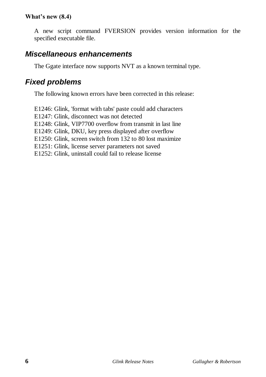#### **What's new (8.4)**

A new script command FVERSION provides version information for the specified executable file.

#### *Miscellaneous enhancements*

The Ggate interface now supports NVT as a known terminal type.

## *Fixed problems*

The following known errors have been corrected in this release:

E1246: Glink, 'format with tabs' paste could add characters E1247: Glink, disconnect was not detected E1248: Glink, VIP7700 overflow from transmit in last line E1249: Glink, DKU, key press displayed after overflow E1250: Glink, screen switch from 132 to 80 lost maximize E1251: Glink, license server parameters not saved E1252: Glink, uninstall could fail to release license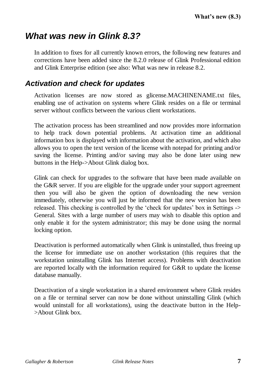## *What was new in Glink 8.3?*

In addition to fixes for all currently known errors, the following new features and corrections have been added since the 8.2.0 release of Glink Professional edition and Glink Enterprise edition (see also: What was new in release 8.2.

## *Activation and check for updates*

Activation licenses are now stored as glicense.MACHINENAME.txt files, enabling use of activation on systems where Glink resides on a file or terminal server without conflicts between the various client workstations.

The activation process has been streamlined and now provides more information to help track down potential problems. At activation time an additional information box is displayed with information about the activation, and which also allows you to open the text version of the license with notepad for printing and/or saving the license. Printing and/or saving may also be done later using new buttons in the Help->About Glink dialog box.

Glink can check for upgrades to the software that have been made available on the G&R server. If you are eligible for the upgrade under your support agreement then you will also be given the option of downloading the new version immediately, otherwise you will just be informed that the new version has been released. This checking is controlled by the 'check for updates' box in Settings -> General. Sites with a large number of users may wish to disable this option and only enable it for the system administrator; this may be done using the normal locking option.

Deactivation is performed automatically when Glink is uninstalled, thus freeing up the license for immediate use on another workstation (this requires that the workstation uninstalling Glink has Internet access). Problems with deactivation are reported locally with the information required for G&R to update the license database manually.

Deactivation of a single workstation in a shared environment where Glink resides on a file or terminal server can now be done without uninstalling Glink (which would uninstall for all workstations), using the deactivate button in the Help- >About Glink box.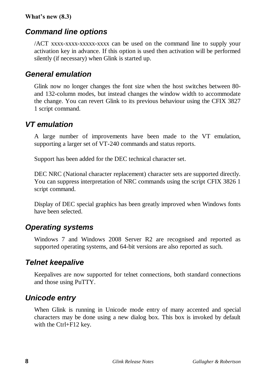#### **What's new (8.3)**

#### *Command line options*

/ACT xxxx-xxxx-xxxxx-xxxx can be used on the command line to supply your activation key in advance. If this option is used then activation will be performed silently (if necessary) when Glink is started up.

#### *General emulation*

Glink now no longer changes the font size when the host switches between 80 and 132-column modes, but instead changes the window width to accommodate the change. You can revert Glink to its previous behaviour using the CFIX 3827 1 script command.

## *VT emulation*

A large number of improvements have been made to the VT emulation, supporting a larger set of VT-240 commands and status reports.

Support has been added for the DEC technical character set.

DEC NRC (National character replacement) character sets are supported directly. You can suppress interpretation of NRC commands using the script CFIX 3826 1 script command.

Display of DEC special graphics has been greatly improved when Windows fonts have been selected.

#### *Operating systems*

Windows 7 and Windows 2008 Server R2 are recognised and reported as supported operating systems, and 64-bit versions are also reported as such.

## *Telnet keepalive*

Keepalives are now supported for telnet connections, both standard connections and those using PuTTY.

### *Unicode entry*

When Glink is running in Unicode mode entry of many accented and special characters may be done using a new dialog box. This box is invoked by default with the Ctrl+F12 key.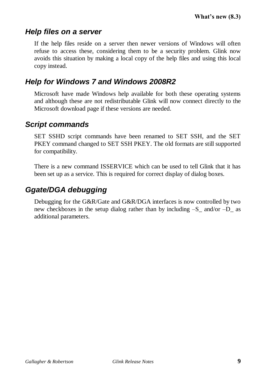## *Help files on a server*

If the help files reside on a server then newer versions of Windows will often refuse to access these, considering them to be a security problem. Glink now avoids this situation by making a local copy of the help files and using this local copy instead.

## *Help for Windows 7 and Windows 2008R2*

Microsoft have made Windows help available for both these operating systems and although these are not redistributable Glink will now connect directly to the Microsoft download page if these versions are needed.

## *Script commands*

SET SSHD script commands have been renamed to SET SSH, and the SET PKEY command changed to SET SSH PKEY. The old formats are still supported for compatibility.

There is a new command ISSERVICE which can be used to tell Glink that it has been set up as a service. This is required for correct display of dialog boxes.

## *Ggate/DGA debugging*

Debugging for the G&R/Gate and G&R/DGA interfaces is now controlled by two new checkboxes in the setup dialog rather than by including  $-S$  and/or  $-D$  as additional parameters.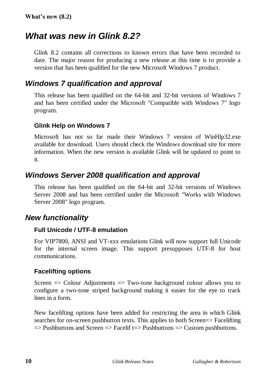## *What was new in Glink 8.2?*

Glink 8.2 contains all corrections to known errors that have been recorded to date. The major reason for producing a new release at this time is to provide a version that has been qualified for the new Microsoft Windows 7 product.

## *Windows 7 qualification and approval*

This release has been qualified on the 64-bit and 32-bit versions of Windows 7 and has been certified under the Microsoft "Compatible with Windows 7" logo program.

#### **Glink Help on Windows 7**

Microsoft has not so far made their Windows 7 version of WinHlp32.exe available for download. Users should check the Windows download site for more information. When the new version is available Glink will be updated to point to it.

## *Windows Server 2008 qualification and approval*

This release has been qualified on the 64-bit and 32-bit versions of Windows Server 2008 and has been certified under the Microsoft "Works with Windows Server 2008" logo program.

### *New functionality*

#### **Full Unicode / UTF-8 emulation**

For VIP7800, ANSI and VT-xxx emulations Glink will now support full Unicode for the internal screen image. This support presupposes UTF-8 for host communications.

#### **Facelifting options**

Screen => Colour Adjustments => Two-tone background colour allows you to configure a two-tone striped background making it easier for the eye to track lines in a form.

New facelifting options have been added for restricting the area in which Glink searches for on-screen pushbutton texts. This applies to both Screen=> Facelifting  $\Rightarrow$  Pushbuttons and Screen  $\Rightarrow$  Facelif t=> Pushbuttons => Custom pushbuttons.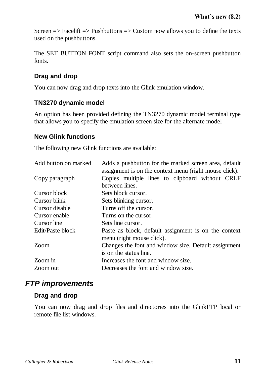Screen  $\Rightarrow$  Facelift  $\Rightarrow$  Pushbuttons  $\Rightarrow$  Custom now allows you to define the texts used on the pushbuttons.

The SET BUTTON FONT script command also sets the on-screen pushbutton fonts.

#### **Drag and drop**

You can now drag and drop texts into the Glink emulation window.

#### **TN3270 dynamic model**

An option has been provided defining the TN3270 dynamic model terminal type that allows you to specify the emulation screen size for the alternate model

#### **New Glink functions**

The following new Glink functions are available:

| Adds a pushbutton for the marked screen area, default  |  |
|--------------------------------------------------------|--|
| assignment is on the context menu (right mouse click). |  |
| Copies multiple lines to clipboard without CRLF        |  |
| between lines.                                         |  |
| Sets block cursor.                                     |  |
| Sets blinking cursor.                                  |  |
| Turns off the cursor.                                  |  |
| Turns on the cursor.                                   |  |
| Sets line cursor.                                      |  |
| Paste as block, default assignment is on the context   |  |
| menu (right mouse click).                              |  |
| Changes the font and window size. Default assignment   |  |
| is on the status line.                                 |  |
| Increases the font and window size.                    |  |
| Decreases the font and window size.                    |  |
|                                                        |  |

## *FTP improvements*

#### **Drag and drop**

You can now drag and drop files and directories into the GlinkFTP local or remote file list windows.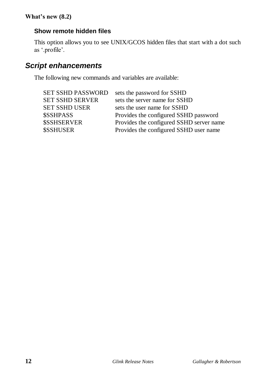#### **Show remote hidden files**

This option allows you to see UNIX/GCOS hidden files that start with a dot such as '.profile'.

## *Script enhancements*

The following new commands and variables are available:

| <b>SET SSHD PASSWORD</b> | sets the password for SSHD               |
|--------------------------|------------------------------------------|
| <b>SET SSHD SERVER</b>   | sets the server name for SSHD            |
| <b>SET SSHD USER</b>     | sets the user name for SSHD              |
| <b>\$SSHPASS</b>         | Provides the configured SSHD password    |
| <b>\$SSHSERVER</b>       | Provides the configured SSHD server name |
| <b>\$SSHUSER</b>         | Provides the configured SSHD user name   |
|                          |                                          |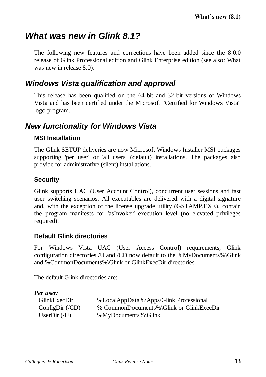## *What was new in Glink 8.1?*

The following new features and corrections have been added since the 8.0.0 release of Glink Professional edition and Glink Enterprise edition (see also: What was new in release 8.0):

## *Windows Vista qualification and approval*

This release has been qualified on the 64-bit and 32-bit versions of Windows Vista and has been certified under the Microsoft "Certified for Windows Vista" logo program.

## *New functionality for Windows Vista*

#### **MSI Installation**

The Glink SETUP deliveries are now Microsoft Windows Installer MSI packages supporting 'per user' or 'all users' (default) installations. The packages also provide for administrative (silent) installations.

#### **Security**

Glink supports UAC (User Account Control), concurrent user sessions and fast user switching scenarios. All executables are delivered with a digital signature and, with the exception of the license upgrade utility (GSTAMP.EXE), contain the program manifests for 'asInvoker' execution level (no elevated privileges required).

#### **Default Glink directories**

For Windows Vista UAC (User Access Control) requirements, Glink configuration directories /U and /CD now default to the %MyDocuments%\Glink and %CommonDocuments%\Glink or GlinkExecDir directories.

The default Glink directories are:

## *Per user:*

GlinkExecDir %LocalAppData%\Apps\Glink Professional ConfigDir (/CD) % CommonDocuments%\Glink or GlinkExecDir UserDir (/U) % MyDocuments%\Glink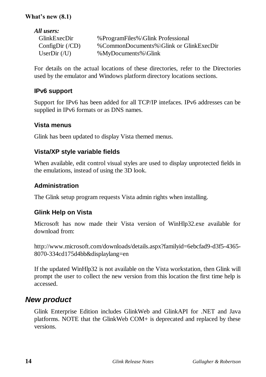| All users:                  |                                         |
|-----------------------------|-----------------------------------------|
| GlinkExecDir                | % Program Files % \ Glink Professional  |
| ConfigDir $(\overline{CD})$ | %CommonDocuments%\Glink or GlinkExecDir |
| UserDir $($ /U)             | %MyDocuments%\Glink                     |

For details on the actual locations of these directories, refer to the Directories used by the emulator and Windows platform directory locations sections.

#### **IPv6 support**

Support for IPv6 has been added for all TCP/IP intefaces. IPv6 addresses can be supplied in IPv6 formats or as DNS names.

#### **Vista menus**

Glink has been updated to display Vista themed menus.

#### **Vista/XP style variable fields**

When available, edit control visual styles are used to display unprotected fields in the emulations, instead of using the 3D look.

#### **Administration**

The Glink setup program requests Vista admin rights when installing.

#### **Glink Help on Vista**

Microsoft has now made their Vista version of WinHlp32.exe available for download from:

http://www.microsoft.com/downloads/details.aspx?familyid=6ebcfad9-d3f5-4365- 8070-334cd175d4bb&displaylang=en

If the updated WinHlp32 is not available on the Vista workstation, then Glink will prompt the user to collect the new version from this location the first time help is accessed.

### *New product*

Glink Enterprise Edition includes GlinkWeb and GlinkAPI for .NET and Java platforms. NOTE that the GlinkWeb COM+ is deprecated and replaced by these versions.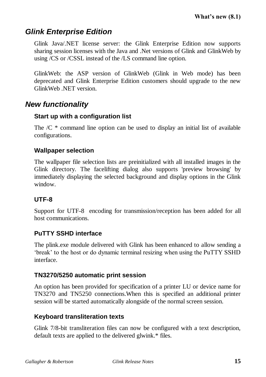## *Glink Enterprise Edition*

Glink Java/.NET license server: the Glink Enterprise Edition now supports sharing session licenses with the Java and .Net versions of Glink and GlinkWeb by using /CS or /CSSL instead of the /LS command line option.

GlinkWeb: the ASP version of GlinkWeb (Glink in Web mode) has been deprecated and Glink Enterprise Edition customers should upgrade to the new GlinkWeb .NET version.

## *New functionality*

#### **Start up with a configuration list**

The  $/C$   $*$  command line option can be used to display an initial list of available configurations.

#### **Wallpaper selection**

The wallpaper file selection lists are preinitialized with all installed images in the Glink directory. The facelifting dialog also supports 'preview browsing' by immediately displaying the selected background and display options in the Glink window.

#### **UTF-8**

Support for UTF-8 encoding for transmission/reception has been added for all host communications.

#### **PuTTY SSHD interface**

The plink.exe module delivered with Glink has been enhanced to allow sending a 'break' to the host or do dynamic terminal resizing when using the PuTTY SSHD interface.

#### **TN3270/5250 automatic print session**

An option has been provided for specification of a printer LU or device name for TN3270 and TN5250 connections.When this is specified an additional printer session will be started automatically alongside of the normal screen session.

#### **Keyboard transliteration texts**

Glink 7/8-bit transliteration files can now be configured with a text description, default texts are applied to the delivered glwink.\* files.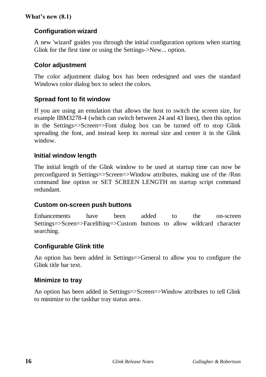#### **What's new (8.1)**

#### **Configuration wizard**

A new 'wizard' guides you through the initial configuration options when starting Glink for the first time or using the Settings->New... option.

#### **Color adjustment**

The color adjustment dialog box has been redesigned and uses the standard Windows color dialog box to select the colors.

#### **Spread font to fit window**

If you are using an emulation that allows the host to switch the screen size, for example IBM3278-4 (which can switch between 24 and 43 lines), then this option in the Settings=>Screen=>Font dialog box can be turned off to stop Glink spreading the font, and instead keep its normal size and center it in the Glink window.

#### **Initial window length**

The initial length of the Glink window to be used at startup time can now be preconfigured in Settings=>Screen=>Window attributes, making use of the /Rnn command line option or SET SCREEN LENGTH nn startup script command redundant.

#### **Custom on-screen push buttons**

Enhancements have been added to the on-screen Settings=>Sceen=>Facelifting=>Custom buttons to allow wildcard character searching.

#### **Configurable Glink title**

An option has been added in Settings=>General to allow you to configure the Glink title bar text.

#### **Minimize to tray**

An option has been added in Settings=>Screen=>Window attributes to tell Glink to minimize to the taskbar tray status area.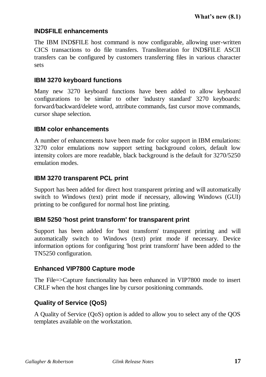#### **IND\$FILE enhancements**

The IBM IND\$FILE host command is now configurable, allowing user-written CICS transactions to do file transfers. Transliteration for IND\$FILE ASCII transfers can be configured by customers transferring files in various character sets

#### **IBM 3270 keyboard functions**

Many new 3270 keyboard functions have been added to allow keyboard configurations to be similar to other 'industry standard' 3270 keyboards: forward/backward/delete word, attribute commands, fast cursor move commands, cursor shape selection.

#### **IBM color enhancements**

A number of enhancements have been made for color support in IBM emulations: 3270 color emulations now support setting background colors, default low intensity colors are more readable, black background is the default for 3270/5250 emulation modes.

#### **IBM 3270 transparent PCL print**

Support has been added for direct host transparent printing and will automatically switch to Windows (text) print mode if necessary, allowing Windows (GUI) printing to be configured for normal host line printing.

#### **IBM 5250 'host print transform' for transparent print**

Support has been added for 'host transform' transparent printing and will automatically switch to Windows (text) print mode if necessary. Device information options for configuring 'host print transform' have been added to the TN5250 configuration.

#### **Enhanced VIP7800 Capture mode**

The File=>Capture functionality has been enhanced in VIP7800 mode to insert CRLF when the host changes line by cursor positioning commands.

#### **Quality of Service (QoS)**

A Quality of Service (QoS) option is added to allow you to select any of the QOS templates available on the workstation.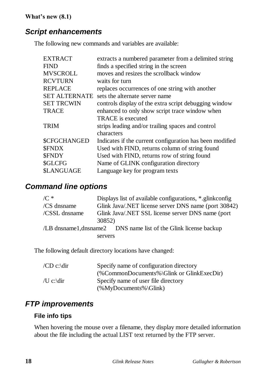#### **What's new (8.1)**

## *Script enhancements*

The following new commands and variables are available:

| <b>EXTRACT</b>          | extracts a numbered parameter from a delimited string    |
|-------------------------|----------------------------------------------------------|
| <b>FIND</b>             | finds a specified string in the screen                   |
| <b>MVSCROLL</b>         | moves and resizes the scrollback window                  |
| <b>RCVTURN</b>          | waits for turn                                           |
| <b>REPLACE</b>          | replaces occurrences of one string with another          |
| <b>SET ALTERNATE</b>    | sets the alternate server name                           |
| <b>SET TRCWIN</b>       | controls display of the extra script debugging window    |
| <b>TRACE</b>            | enhanced to only show script trace window when           |
|                         | <b>TRACE</b> is executed                                 |
| <b>TRIM</b>             | strips leading and/or trailing spaces and control        |
|                         | characters                                               |
| <b>\$CFGCHANGED</b>     | Indicates if the current configuration has been modified |
| <b>SFNDX</b>            | Used with FIND, returns column of string found           |
| <b>SFNDY</b>            | Used with FIND, returns row of string found              |
| \$GLCFG                 | Name of GLINK configuration directory                    |
| <b><i>SLANGUAGE</i></b> | Language key for program texts                           |

## *Command line options*

| $/C$ *        | Displays list of available configurations, *.glinkconfig         |
|---------------|------------------------------------------------------------------|
| $/CS$ dnsname | Glink Java/.NET license server DNS name (port 30842)             |
| /CSSL dnsname | Glink Java/.NET SSL license server DNS name (port)               |
|               | 30852)                                                           |
|               | /LB dnsname1, dnsname2 DNS name list of the Glink license backup |
|               | servers                                                          |
|               |                                                                  |

The following default directory locations have changed:

| /CD c:\dir | Specify name of configuration directory     |
|------------|---------------------------------------------|
|            | $%CommonDocuments\%$ Glink or Glink ExecDir |
| /U c:\dir  | Specify name of user file directory         |
|            | $(\%MyDocuments\% \Glink)$                  |

## *FTP improvements*

#### **File info tips**

When hovering the mouse over a filename, they display more detailed information about the file including the actual LIST text returned by the FTP server.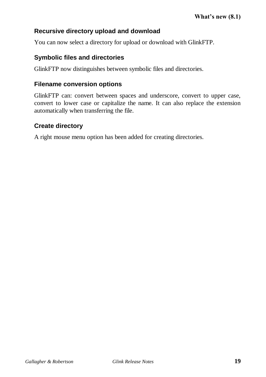#### **Recursive directory upload and download**

You can now select a directory for upload or download with GlinkFTP.

#### **Symbolic files and directories**

GlinkFTP now distinguishes between symbolic files and directories.

#### **Filename conversion options**

GlinkFTP can: convert between spaces and underscore, convert to upper case, convert to lower case or capitalize the name. It can also replace the extension automatically when transferring the file.

#### **Create directory**

A right mouse menu option has been added for creating directories.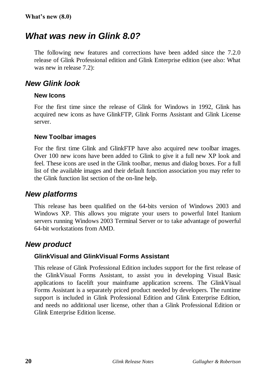## *What was new in Glink 8.0?*

The following new features and corrections have been added since the 7.2.0 release of Glink Professional edition and Glink Enterprise edition (see also: What was new in release 7.2):

## *New Glink look*

#### **New Icons**

For the first time since the release of Glink for Windows in 1992, Glink has acquired new icons as have GlinkFTP, Glink Forms Assistant and Glink License server.

#### **New Toolbar images**

For the first time Glink and GlinkFTP have also acquired new toolbar images. Over 100 new icons have been added to Glink to give it a full new XP look and feel. These icons are used in the Glink toolbar, menus and dialog boxes. For a full list of the available images and their default function association you may refer to the Glink function list section of the on-line help.

### *New platforms*

This release has been qualified on the 64-bits version of Windows 2003 and Windows XP. This allows you migrate your users to powerful Intel Itanium servers running Windows 2003 Terminal Server or to take advantage of powerful 64-bit workstations from AMD.

## *New product*

#### **GlinkVisual and GlinkVisual Forms Assistant**

This release of Glink Professional Edition includes support for the first release of the GlinkVisual Forms Assistant, to assist you in developing Visual Basic applications to facelift your mainframe application screens. The GlinkVisual Forms Assistant is a separately priced product needed by developers. The runtime support is included in Glink Professional Edition and Glink Enterprise Edition, and needs no additional user license, other than a Glink Professional Edition or Glink Enterprise Edition license.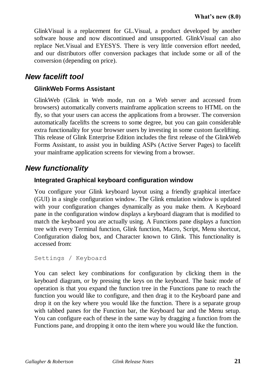GlinkVisual is a replacement for GL.Visual, a product developed by another software house and now discontinued and unsupported. GlinkVisual can also replace Net.Visual and EYESYS. There is very little conversion effort needed, and our distributors offer conversion packages that include some or all of the conversion (depending on price).

## *New facelift tool*

#### **GlinkWeb Forms Assistant**

GlinkWeb (Glink in Web mode, run on a Web server and accessed from browsers) automatically converts mainframe application screens to HTML on the fly, so that your users can access the applications from a browser. The conversion automatically facelifts the screens to some degree, but you can gain considerable extra functionality for your browser users by investing in some custom facelifting. This release of Glink Enterprise Edition includes the first release of the GlinkWeb Forms Assistant, to assist you in building ASPs (Active Server Pages) to facelift your mainframe application screens for viewing from a browser.

## *New functionality*

#### **Integrated Graphical keyboard configuration window**

You configure your Glink keyboard layout using a friendly graphical interface (GUI) in a single configuration window. The Glink emulation window is updated with your configuration changes dynamically as you make them. A Keyboard pane in the configuration window displays a keyboard diagram that is modified to match the keyboard you are actually using. A Functions pane displays a function tree with every Terminal function, Glink function, Macro, Script, Menu shortcut, Configuration dialog box, and Character known to Glink. This functionality is accessed from:

Settings / Keyboard

You can select key combinations for configuration by clicking them in the keyboard diagram, or by pressing the keys on the keyboard. The basic mode of operation is that you expand the function tree in the Functions pane to reach the function you would like to configure, and then drag it to the Keyboard pane and drop it on the key where you would like the function. There is a separate group with tabbed panes for the Function bar, the Keyboard bar and the Menu setup. You can configure each of these in the same way by dragging a function from the Functions pane, and dropping it onto the item where you would like the function.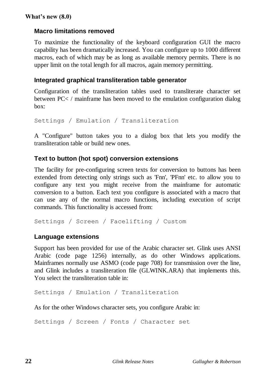#### **Macro limitations removed**

To maximize the functionality of the keyboard configuration GUI the macro capability has been dramatically increased. You can configure up to 1000 different macros, each of which may be as long as available memory permits. There is no upper limit on the total length for all macros, again memory permitting.

#### **Integrated graphical transliteration table generator**

Configuration of the transliteration tables used to transliterate character set between PC< / mainframe has been moved to the emulation configuration dialog  $\mathbf{h}\alpha x$ 

Settings / Emulation / Transliteration

A "Configure" button takes you to a dialog box that lets you modify the transliteration table or build new ones.

#### **Text to button (hot spot) conversion extensions**

The facility for pre-configuring screen texts for conversion to buttons has been extended from detecting only strings such as 'Fnn', 'PFnn' etc. to allow you to configure any text you might receive from the mainframe for automatic conversion to a button. Each text you configure is associated with a macro that can use any of the normal macro functions, including execution of script commands. This functionality is accessed from:

Settings / Screen / Facelifting / Custom

#### **Language extensions**

Support has been provided for use of the Arabic character set. Glink uses ANSI Arabic (code page 1256) internally, as do other Windows applications. Mainframes normally use ASMO (code page 708) for transmission over the line, and Glink includes a transliteration file (GLWINK.ARA) that implements this. You select the transliteration table in:

Settings / Emulation / Transliteration

As for the other Windows character sets, you configure Arabic in:

```
Settings / Screen / Fonts / Character set
```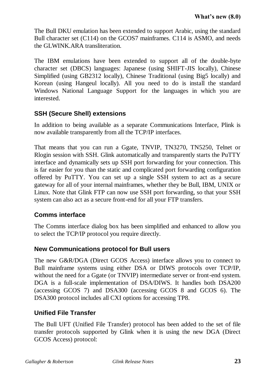The Bull DKU emulation has been extended to support Arabic, using the standard Bull character set (C114) on the GCOS7 mainframes. C114 is ASMO, and needs the GLWINK.ARA transliteration.

The IBM emulations have been extended to support all of the double-byte character set (DBCS) languages: Japanese (using SHIFT-JIS locally), Chinese Simplified (using GB2312 locally), Chinese Traditional (using Big5 locally) and Korean (using Hangeul locally). All you need to do is install the standard Windows National Language Support for the languages in which you are interested.

#### **SSH (Secure Shell) extensions**

In addition to being available as a separate Communications Interface, Plink is now available transparently from all the TCP/IP interfaces.

That means that you can run a Ggate, TNVIP, TN3270, TN5250, Telnet or Rlogin session with SSH. Glink automatically and transparently starts the PuTTY interface and dynamically sets up SSH port forwarding for your connection. This is far easier for you than the static and complicated port forwarding configuration offered by PuTTY. You can set up a single SSH system to act as a secure gateway for all of your internal mainframes, whether they be Bull, IBM, UNIX or Linux. Note that Glink FTP can now use SSH port forwarding, so that your SSH system can also act as a secure front-end for all your FTP transfers.

#### **Comms interface**

The Comms interface dialog box has been simplified and enhanced to allow you to select the TCP/IP protocol you require directly.

#### **New Communications protocol for Bull users**

The new G&R/DGA (Direct GCOS Access) interface allows you to connect to Bull mainframe systems using either DSA or DIWS protocols over TCP/IP, without the need for a Ggate (or TNVIP) intermediate server or front-end system. DGA is a full-scale implementation of DSA/DIWS. It handles both DSA200 (accessing GCOS 7) and DSA300 (accessing GCOS 8 and GCOS 6). The DSA300 protocol includes all CXI options for accessing TP8.

#### **Unified File Transfer**

The Bull UFT (Unified File Transfer) protocol has been added to the set of file transfer protocols supported by Glink when it is using the new DGA (Direct GCOS Access) protocol: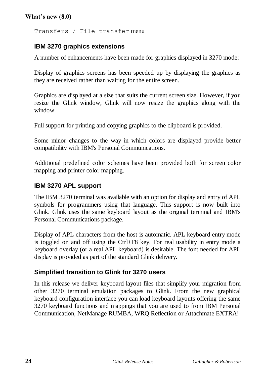Transfers / File transfer menu

#### **IBM 3270 graphics extensions**

A number of enhancements have been made for graphics displayed in 3270 mode:

Display of graphics screens has been speeded up by displaying the graphics as they are received rather than waiting for the entire screen.

Graphics are displayed at a size that suits the current screen size. However, if you resize the Glink window, Glink will now resize the graphics along with the window.

Full support for printing and copying graphics to the clipboard is provided.

Some minor changes to the way in which colors are displayed provide better compatibility with IBM's Personal Communications.

Additional predefined color schemes have been provided both for screen color mapping and printer color mapping.

#### **IBM 3270 APL support**

The IBM 3270 terminal was available with an option for display and entry of APL symbols for programmers using that language. This support is now built into Glink. Glink uses the same keyboard layout as the original terminal and IBM's Personal Communications package.

Display of APL characters from the host is automatic. APL keyboard entry mode is toggled on and off using the Ctrl+F8 key. For real usability in entry mode a keyboard overlay (or a real APL keyboard) is desirable. The font needed for APL display is provided as part of the standard Glink delivery.

#### **Simplified transition to Glink for 3270 users**

In this release we deliver keyboard layout files that simplify your migration from other 3270 terminal emulation packages to Glink. From the new graphical keyboard configuration interface you can load keyboard layouts offering the same 3270 keyboard functions and mappings that you are used to from IBM Personal Communication, NetManage RUMBA, WRQ Reflection or Attachmate EXTRA!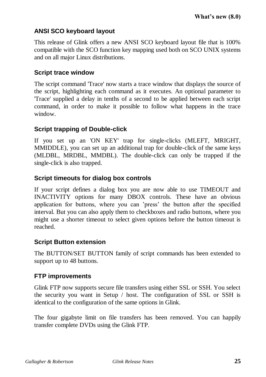#### **ANSI SCO keyboard layout**

This release of Glink offers a new ANSI SCO keyboard layout file that is 100% compatible with the SCO function key mapping used both on SCO UNIX systems and on all major Linux distributions.

#### **Script trace window**

The script command 'Trace' now starts a trace window that displays the source of the script, highlighting each command as it executes. An optional parameter to 'Trace' supplied a delay in tenths of a second to be applied between each script command, in order to make it possible to follow what happens in the trace window.

#### **Script trapping of Double-click**

If you set up an 'ON KEY' trap for single-clicks (MLEFT, MRIGHT, MMIDDLE), you can set up an additional trap for double-click of the same keys (MLDBL, MRDBL, MMDBL). The double-click can only be trapped if the single-click is also trapped.

#### **Script timeouts for dialog box controls**

If your script defines a dialog box you are now able to use TIMEOUT and INACTIVITY options for many DBOX controls. These have an obvious application for buttons, where you can 'press' the button after the specified interval. But you can also apply them to checkboxes and radio buttons, where you might use a shorter timeout to select given options before the button timeout is reached.

#### **Script Button extension**

The BUTTON/SET BUTTON family of script commands has been extended to support up to 48 buttons.

#### **FTP improvements**

Glink FTP now supports secure file transfers using either SSL or SSH. You select the security you want in Setup / host. The configuration of SSL or SSH is identical to the configuration of the same options in Glink.

The four gigabyte limit on file transfers has been removed. You can happily transfer complete DVDs using the Glink FTP.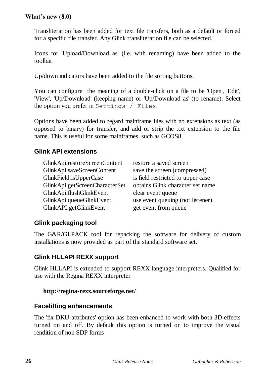Transliteration has been added for text file transfers, both as a default or forced for a specific file transfer. Any Glink transliteration file can be selected.

Icons for 'Upload/Download as' (i.e. with renaming) have been added to the toolbar.

Up/down indicators have been added to the file sorting buttons.

You can configure the meaning of a double-click on a file to be 'Open', 'Edit', 'View', 'Up/Download' (keeping name) or 'Up/Download as' (to rename). Select the option you prefer in Settings / Files.

Options have been added to regard mainframe files with no extensions as text (as opposed to binary) for transfer, and add or strip the .txt extension to the file name. This is useful for some mainframes, such as GCOS8.

#### **Glink API extensions**

| GlinkApi.restoreScreenContent  | restore a saved screen            |
|--------------------------------|-----------------------------------|
| GlinkApi.saveScreenContent     | save the screen (compressed)      |
| GlinkField.isUpperCase         | is field restricted to upper case |
| GlinkApi.getScreenCharacterSet | obtains Glink character set name  |
| GlinkApi.flushGlinkEvent       | clear event queue                 |
| GlinkApi.queueGlinkEvent       | use event queuing (not listener)  |
| GlinkAPI.getGlinkEvent         | get event from queue              |

#### **Glink packaging tool**

The G&R/GLPACK tool for repacking the software for delivery of custom installations is now provided as part of the standard software set.

#### **Glink HLLAPI REXX support**

Glink HLLAPI is extended to support REXX language interpreters. Qualified for use with the Regina REXX interpreter

#### **http://regina-rexx.sourceforge.net/**

#### **Facelifting enhancements**

The 'fix DKU attributes' option has been enhanced to work with both 3D effects turned on and off. By default this option is turned on to improve the visual rendition of non SDP forms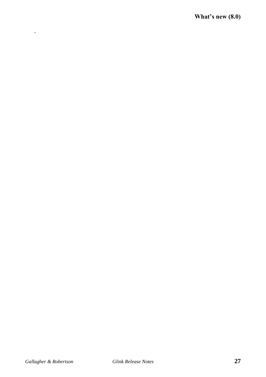.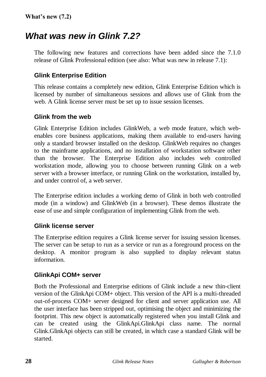#### **What's new (7.2)**

## *What was new in Glink 7.2?*

The following new features and corrections have been added since the 7.1.0 release of Glink Professional edition (see also: What was new in release 7.1):

#### **Glink Enterprise Edition**

This release contains a completely new edition, Glink Enterprise Edition which is licensed by number of simultaneous sessions and allows use of Glink from the web. A Glink license server must be set up to issue session licenses.

#### **Glink from the web**

Glink Enterprise Edition includes GlinkWeb, a web mode feature, which webenables core business applications, making them available to end-users having only a standard browser installed on the desktop. GlinkWeb requires no changes to the mainframe applications, and no installation of workstation software other than the browser. The Enterprise Edition also includes web controlled workstation mode, allowing you to choose between running Glink on a web server with a browser interface, or running Glink on the workstation, installed by, and under control of, a web server.

The Enterprise edition includes a working demo of Glink in both web controlled mode (in a window) and GlinkWeb (in a browser). These demos illustrate the ease of use and simple configuration of implementing Glink from the web.

#### **Glink license server**

The Enterprise edition requires a Glink license server for issuing session licenses. The server can be setup to run as a service or run as a foreground process on the desktop. A monitor program is also supplied to display relevant status information.

#### **GlinkApi COM+ server**

Both the Professional and Enterprise editions of Glink include a new thin-client version of the GlinkApi COM+ object. This version of the API is a multi-threaded out-of-process COM+ server designed for client and server application use. All the user interface has been stripped out, optimising the object and minimizing the footprint. This new object is automatically registered when you install Glink and can be created using the GlinkApi.GlinkApi class name. The normal Glink.GlinkApi objects can still be created, in which case a standard Glink will be started.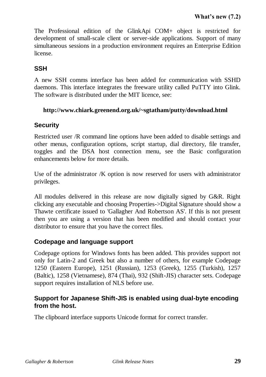The Professional edition of the GlinkApi COM+ object is restricted for development of small-scale client or server-side applications. Support of many simultaneous sessions in a production environment requires an Enterprise Edition license.

#### **SSH**

A new SSH comms interface has been added for communication with SSHD daemons. This interface integrates the freeware utility called PuTTY into Glink. The software is distributed under the MIT licence, see:

#### **http://www.chiark.greenend.org.uk/~sgtatham/putty/download.html**

#### **Security**

Restricted user /R command line options have been added to disable settings and other menus, configuration options, script startup, dial directory, file transfer, toggles and the DSA host connection menu, see the Basic configuration enhancements below for more details.

Use of the administrator /K option is now reserved for users with administrator privileges.

All modules delivered in this release are now digitally signed by G&R. Right clicking any executable and choosing Properties->Digital Signature should show a Thawte certificate issued to 'Gallagher And Robertson AS'. If this is not present then you are using a version that has been modified and should contact your distributor to ensure that you have the correct files.

#### **Codepage and language support**

Codepage options for Windows fonts has been added. This provides support not only for Latin-2 and Greek but also a number of others, for example Codepage 1250 (Eastern Europe), 1251 (Russian), 1253 (Greek), 1255 (Turkish), 1257 (Baltic), 1258 (Vietnamese), 874 (Thai), 932 (Shift-JIS) character sets. Codepage support requires installation of NLS before use.

#### **Support for Japanese Shift-JIS is enabled using dual-byte encoding from the host.**

The clipboard interface supports Unicode format for correct transfer.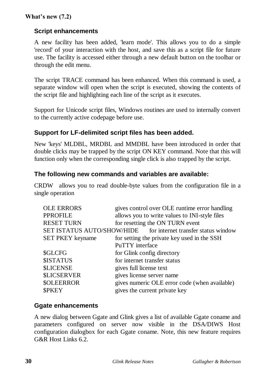#### **What's new (7.2)**

#### **Script enhancements**

A new facility has been added, 'learn mode'. This allows you to do a simple 'record' of your interaction with the host, and save this as a script file for future use. The facility is accessed either through a new default button on the toolbar or through the edit menu.

The script TRACE command has been enhanced. When this command is used, a separate window will open when the script is executed, showing the contents of the script file and highlighting each line of the script as it executes.

Support for Unicode script files, Windows routines are used to internally convert to the currently active codepage before use.

#### **Support for LF-delimited script files has been added.**

New 'keys' MLDBL, MRDBL and MMDBL have been introduced in order that double clicks may be trapped by the script ON KEY command. Note that this will function only when the corresponding single click is also trapped by the script.

#### **The following new commands and variables are available:**

CRDW allows you to read double-byte values from the configuration file in a single operation

| <b>OLE ERRORS</b>          | gives control over OLE runtime error handling |
|----------------------------|-----------------------------------------------|
| <b>PPROFILE</b>            | allows you to write values to INI-style files |
| <b>RESET TURN</b>          | for resetting the ON TURN event               |
| SET ISTATUS AUTO/SHOW/HIDE | for internet transfer status window           |
| <b>SET PKEY keyname</b>    | for setting the private key used in the SSH   |
|                            | <b>PuTTY</b> interface                        |
| \$GLCFG                    | for Glink config directory                    |
| <b>\$ISTATUS</b>           | for internet transfer status                  |
| <b><i>SLICENSE</i></b>     | gives full license text                       |
| <b>\$LICSERVER</b>         | gives license server name                     |
| <b>\$OLEERROR</b>          | gives numeric OLE error code (when available) |
| <b>SPKEY</b>               | gives the current private key                 |

#### **Ggate enhancements**

A new dialog between Ggate and Glink gives a list of available Ggate coname and parameters configured on server now visible in the DSA/DIWS Host configuration dialogbox for each Ggate coname. Note, this new feature requires  $G\&R$  Host Links 6.2.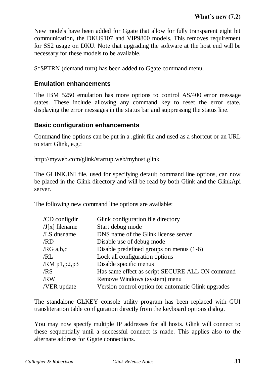New models have been added for Ggate that allow for fully transparent eight bit communication, the DKU9107 and VIP9800 models. This removes requirement for SS2 usage on DKU. Note that upgrading the software at the host end will be necessary for these models to be available.

\$\*\$PTRN (demand turn) has been added to Ggate command menu.

#### **Emulation enhancements**

The IBM 5250 emulation has more options to control AS/400 error message states. These include allowing any command key to reset the error state, displaying the error messages in the status bar and suppressing the status line.

### **Basic configuration enhancements**

Command line options can be put in a .glink file and used as a shortcut or an URL to start Glink, e.g.:

http://myweb.com/glink/startup.web/myhost.glink

The GLINK.INI file, used for specifying default command line options, can now be placed in the Glink directory and will be read by both Glink and the GlinkApi server.

The following new command line options are available:

| /CD configdir    | Glink configuration file directory                  |
|------------------|-----------------------------------------------------|
| $/J[x]$ filename | Start debug mode                                    |
| /LS dnsname      | DNS name of the Glink license server                |
| /RD              | Disable use of debug mode                           |
| /RG a,b,c        | Disable predefined groups on menus $(1-6)$          |
| /RL              | Lock all configuration options                      |
| /RM $p1,p2,p3$   | Disable specific menus                              |
| /RS              | Has same effect as script SECURE ALL ON command     |
| /RW              | Remove Windows (system) menu                        |
| /VER update      | Version control option for automatic Glink upgrades |
|                  |                                                     |

The standalone GLKEY console utility program has been replaced with GUI transliteration table configuration directly from the keyboard options dialog.

You may now specify multiple IP addresses for all hosts. Glink will connect to these sequentially until a successful connect is made. This applies also to the alternate address for Ggate connections.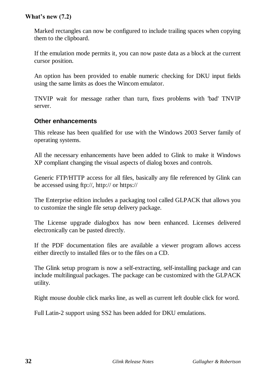#### **What's new (7.2)**

Marked rectangles can now be configured to include trailing spaces when copying them to the clipboard.

If the emulation mode permits it, you can now paste data as a block at the current cursor position.

An option has been provided to enable numeric checking for DKU input fields using the same limits as does the Wincom emulator.

TNVIP wait for message rather than turn, fixes problems with 'bad' TNVIP server.

### **Other enhancements**

This release has been qualified for use with the Windows 2003 Server family of operating systems.

All the necessary enhancements have been added to Glink to make it Windows XP compliant changing the visual aspects of dialog boxes and controls.

Generic FTP/HTTP access for all files, basically any file referenced by Glink can be accessed using ftp://, http:// or https://

The Enterprise edition includes a packaging tool called GLPACK that allows you to customize the single file setup delivery package.

The License upgrade dialogbox has now been enhanced. Licenses delivered electronically can be pasted directly.

If the PDF documentation files are available a viewer program allows access either directly to installed files or to the files on a CD.

The Glink setup program is now a self-extracting, self-installing package and can include multilingual packages. The package can be customized with the GLPACK utility.

Right mouse double click marks line, as well as current left double click for word.

Full Latin-2 support using SS2 has been added for DKU emulations.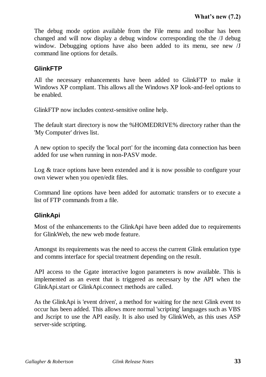The debug mode option available from the File menu and toolbar has been changed and will now display a debug window corresponding the the /J debug window. Debugging options have also been added to its menu, see new /J command line options for details.

## **GlinkFTP**

All the necessary enhancements have been added to GlinkFTP to make it Windows XP compliant. This allows all the Windows XP look-and-feel options to be enabled.

GlinkFTP now includes context-sensitive online help.

The default start directory is now the %HOMEDRIVE% directory rather than the 'My Computer' drives list.

A new option to specify the 'local port' for the incoming data connection has been added for use when running in non-PASV mode.

Log & trace options have been extended and it is now possible to configure your own viewer when you open/edit files.

Command line options have been added for automatic transfers or to execute a list of FTP commands from a file.

## **GlinkApi**

Most of the enhancements to the GlinkApi have been added due to requirements for GlinkWeb, the new web mode feature.

Amongst its requirements was the need to access the current Glink emulation type and comms interface for special treatment depending on the result.

API access to the Ggate interactive logon parameters is now available. This is implemented as an event that is triggered as necessary by the API when the GlinkApi.start or GlinkApi.connect methods are called.

As the GlinkApi is 'event driven', a method for waiting for the next Glink event to occur has been added. This allows more normal 'scripting' languages such as VBS and Jscript to use the API easily. It is also used by GlinkWeb, as this uses ASP server-side scripting.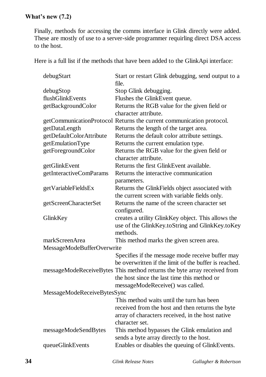## **What's new (7.2)**

Finally, methods for accessing the comms interface in Glink directly were added. These are mostly of use to a server-side programmer requirling direct DSA access to the host.

Here is a full list if the methods that have been added to the GlinkApi interface:

| debugStart                  | Start or restart Glink debugging, send output to a<br>file.              |
|-----------------------------|--------------------------------------------------------------------------|
| debugStop                   | Stop Glink debugging.                                                    |
| flushGlinkEvents            | Flushes the GlinkEvent queue.                                            |
| getBackgroundColor          | Returns the RGB value for the given field or<br>character attribute.     |
|                             | getCommunicationProtocol Returns the current communication protocol.     |
| getDataLength               | Returns the length of the target area.                                   |
| getDefaultColorAttribute    | Returns the default color attribute settings.                            |
| getEmulationType            | Returns the current emulation type.                                      |
| getForegroundColor          | Returns the RGB value for the given field or                             |
|                             | character attribute.                                                     |
| getGlinkEvent               | Returns the first GlinkEvent available.                                  |
| getInteractiveComParams     | Returns the interactive communication<br>parameters.                     |
| getVariableFieldsEx         | Returns the GlinkFields object associated with                           |
|                             | the current screen with variable fields only.                            |
| getScreenCharacterSet       | Returns the name of the screen character set                             |
|                             | configured.                                                              |
| GlinkKey                    | creates a utility GlinkKey object. This allows the                       |
|                             | use of the GlinkKey.toString and GlinkKey.toKey                          |
|                             | methods.                                                                 |
| markScreenArea              | This method marks the given screen area.                                 |
| MessageModeBufferOverwrite  |                                                                          |
|                             | Specifies if the message mode receive buffer may                         |
|                             | be overwritten if the limit of the buffer is reached.                    |
|                             | messageModeReceiveBytes This method returns the byte array received from |
|                             | the host since the last time this method or                              |
|                             | messageModeReceive() was called.                                         |
| MessageModeReceiveBytesSync |                                                                          |
|                             | This method waits until the turn has been                                |
|                             | received from the host and then returns the byte                         |
|                             | array of characters received, in the host native                         |
|                             | character set.                                                           |
| messageModeSendBytes        | This method bypasses the Glink emulation and                             |
|                             | sends a byte array directly to the host.                                 |
| queueGlinkEvents            | Enables or disables the queuing of GlinkEvents.                          |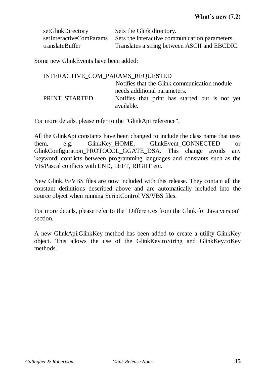| setGlinkDirectory       | Sets the Glink directory.                      |
|-------------------------|------------------------------------------------|
| setInteractiveComParams | Sets the interactive communication parameters. |
| translateBuffer         | Translates a string between ASCII and EBCDIC.  |

Some new GlinkEvents have been added:

| INTERACTIVE COM PARAMS REQUESTED |                                                |
|----------------------------------|------------------------------------------------|
|                                  | Notifies that the Glink communication module   |
|                                  | needs additional parameters.                   |
| PRINT STARTED                    | Notifies that print has started but is not yet |
|                                  | available.                                     |

For more details, please refer to the "GlinkApi reference".

All the GlinkApi constants have been changed to include the class name that uses them, e.g. GlinkKey HOME, GlinkEvent CONNECTED or GlinkConfiguration\_PROTOCOL\_GGATE\_DSA. This change avoids any 'keyword' conflicts between programming languages and constants such as the VB/Pascal conflicts with END, LEFT, RIGHT etc.

New Glink.JS/VBS files are now included with this release. They contain all the constant definitions described above and are automatically included into the source object when running ScriptControl VS/VBS files.

For more details, please refer to the "Differences from the Glink for Java version" section.

A new GlinkApi.GlinkKey method has been added to create a utility GlinkKey object. This allows the use of the GlinkKey.toString and GlinkKey.toKey methods.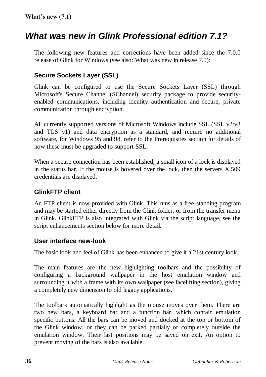# *What was new in Glink Professional edition 7.1?*

The following new features and corrections have been added since the 7.0.0 release of Glink for Windows (see also: What was new in release 7.0):

## **Secure Sockets Layer (SSL)**

Glink can be configured to use the Secure Sockets Layer (SSL) through Microsoft's Secure Channel (SChannel) security package to provide securityenabled communications, including identity authentication and secure, private communication through encryption.

All currently supported versions of Microsoft Windows include SSL (SSL v2/v3 and TLS v1) and data encryption as a standard, and require no additional software, for Windows 95 and 98, refer to the Prerequisites section for details of how these must be upgraded to support SSL.

When a secure connection has been established, a small icon of a lock is displayed in the status bar. If the mouse is hovered over the lock, then the servers X.509 credentials are displayed.

## **GlinkFTP client**

An FTP client is now provided with Glink. This runs as a free-standing program and may be started either directly from the Glink folder, or from the transfer menu in Glink. GlinkFTP is also integrated with Glink via the script language, see the script enhancements section below for more detail.

#### **User interface new-look**

The basic look and feel of Glink has been enhanced to give it a 21st century look.

The main features are the new highlighting toolbars and the possibility of configuring a background wallpaper in the host emulation window and surrounding it with a frame with its own wallpaper (see facelifting section), giving a completely new dimension to old legacy applications.

The toolbars automatically highlight as the mouse moves over them. There are two new bars, a keyboard bar and a function bar, which contain emulation specific buttons. All the bars can be moved and docked at the top or bottom of the Glink window, or they can be parked partially or completely outside the emulation window. Their last positions may be saved on exit. An option to prevent moving of the bars is also available.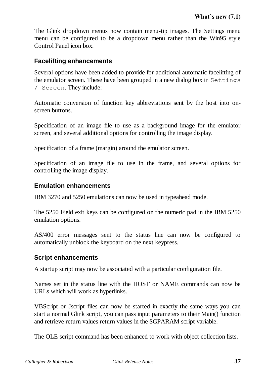The Glink dropdown menus now contain menu-tip images. The Settings menu menu can be configured to be a dropdown menu rather than the Win95 style Control Panel icon box.

## **Facelifting enhancements**

Several options have been added to provide for additional automatic facelifting of the emulator screen. These have been grouped in a new dialog box in Settings / Screen. They include:

Automatic conversion of function key abbreviations sent by the host into onscreen buttons.

Specification of an image file to use as a background image for the emulator screen, and several additional options for controlling the image display.

Specification of a frame (margin) around the emulator screen.

Specification of an image file to use in the frame, and several options for controlling the image display.

#### **Emulation enhancements**

IBM 3270 and 5250 emulations can now be used in typeahead mode.

The 5250 Field exit keys can be configured on the numeric pad in the IBM 5250 emulation options.

AS/400 error messages sent to the status line can now be configured to automatically unblock the keyboard on the next keypress.

## **Script enhancements**

A startup script may now be associated with a particular configuration file.

Names set in the status line with the HOST or NAME commands can now be URLs which will work as hyperlinks.

VBScript or Jscript files can now be started in exactly the same ways you can start a normal Glink script, you can pass input parameters to their Main() function and retrieve return values return values in the \$GPARAM script variable.

The OLE script command has been enhanced to work with object collection lists.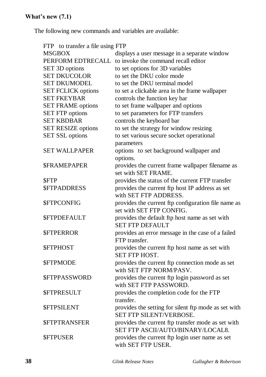## **What's new (7.1)**

The following new commands and variables are available:

| FTP to transfer a file using FTP |                                                      |
|----------------------------------|------------------------------------------------------|
| <b>MSGBOX</b>                    | displays a user message in a separate window         |
| PERFORM EDTRECALL                | to invoke the command recall editor                  |
| SET 3D options                   | to set options for 3D variables                      |
| <b>SET DKUCOLOR</b>              | to set the DKU color mode                            |
| <b>SET DKUMODEL</b>              | to set the DKU terminal model                        |
| <b>SET FCLICK options</b>        | to set a clickable area in the frame wallpaper       |
| <b>SET FKEYBAR</b>               | controls the function key bar                        |
| <b>SET FRAME options</b>         | to set frame wallpaper and options                   |
| <b>SET FTP options</b>           | to set parameters for FTP transfers                  |
| <b>SET KBDBAR</b>                | controls the keyboard bar                            |
| <b>SET RESIZE options</b>        | to set the strategy for window resizing              |
| <b>SET SSL options</b>           | to set various secure socket operational             |
|                                  | parameters                                           |
| <b>SET WALLPAPER</b>             | options to set background wallpaper and              |
|                                  | options.                                             |
| <b><i>SFRAMEPAPER</i></b>        | provides the current frame wallpaper filename as     |
|                                  | set with SET FRAME.                                  |
| \$FTP                            | provides the status of the current FTP transfer      |
| <b>\$FTPADDRESS</b>              | provides the current ftp host IP address as set      |
|                                  | with SET FTP ADDRESS.                                |
| <b>\$FTPCONFIG</b>               | provides the current ftp configuration file name as  |
|                                  | set with SET FTP CONFIG.                             |
| <b>SFTPDEFAULT</b>               | provides the default ftp host name as set with       |
|                                  | <b>SET FTP DEFAULT</b>                               |
| <b>\$FTPERROR</b>                | provides an error message in the case of a failed    |
|                                  | FTP transfer.                                        |
| <b>\$FTPHOST</b>                 | provides the current ftp host name as set with       |
|                                  | SET FTP HOST.                                        |
| <b>SFTPMODE</b>                  | provides the current ftp connection mode as set      |
|                                  | with SET FTP NORM/PASV.                              |
| <b>\$FTPPASSWORD</b>             | provides the current ftp login password as set       |
|                                  | with SET FTP PASSWORD.                               |
| <b>\$FTPRESULT</b>               | provides the completion code for the FTP             |
|                                  | transfer.                                            |
| <b><i>SFTPSILENT</i></b>         | provides the setting for silent ftp mode as set with |
|                                  | SET FTP SILENT/VERBOSE.                              |
| <b><i>SFTPTRANSFER</i></b>       | provides the current ftp transfer mode as set with   |
|                                  | SET FTP ASCII/AUTO/BINARY/LOCAL8.                    |
| <b>\$FTPUSER</b>                 | provides the current ftp login user name as set      |
|                                  | with SET FTP USER.                                   |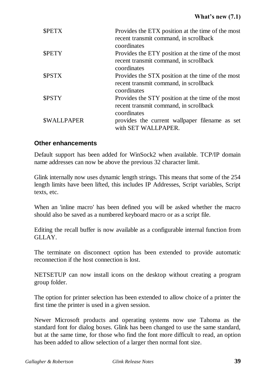| <b>SPETX</b>             | Provides the ETX position at the time of the most<br>recent transmit command, in scrollback<br>coordinates |
|--------------------------|------------------------------------------------------------------------------------------------------------|
| <b>SPETY</b>             | Provides the ETY position at the time of the most<br>recent transmit command, in scrollback<br>coordinates |
| <b>SPSTX</b>             | Provides the STX position at the time of the most<br>recent transmit command, in scrollback<br>coordinates |
| <b>SPSTY</b>             | Provides the STY position at the time of the most<br>recent transmit command, in scrollback<br>coordinates |
| <b><i>SWALLPAPER</i></b> | provides the current wallpaper filename as set<br>with SET WALLPAPER.                                      |

### **Other enhancements**

Default support has been added for WinSock2 when available. TCP/IP domain name addresses can now be above the previous 32 character limit.

Glink internally now uses dynamic length strings. This means that some of the 254 length limits have been lifted, this includes IP Addresses, Script variables, Script texts, etc.

When an 'inline macro' has been defined you will be asked whether the macro should also be saved as a numbered keyboard macro or as a script file.

Editing the recall buffer is now available as a configurable internal function from GLLAY.

The terminate on disconnect option has been extended to provide automatic reconnection if the host connection is lost.

NETSETUP can now install icons on the desktop without creating a program group folder.

The option for printer selection has been extended to allow choice of a printer the first time the printer is used in a given session.

Newer Microsoft products and operating systems now use Tahoma as the standard font for dialog boxes. Glink has been changed to use the same standard, but at the same time, for those who find the font more difficult to read, an option has been added to allow selection of a larger then normal font size.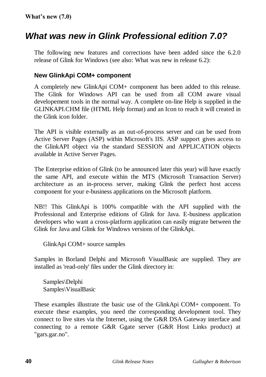# *What was new in Glink Professional edition 7.0?*

The following new features and corrections have been added since the 6.2.0 release of Glink for Windows (see also: What was new in release 6.2):

#### **New GlinkApi COM+ component**

A completely new GlinkApi COM+ component has been added to this release. The Glink for Windows API can be used from all COM aware visual developement tools in the normal way. A complete on-line Help is supplied in the GLINKAPI.CHM file (HTML Help format) and an Icon to reach it will created in the Glink icon folder.

The API is visible externally as an out-of-process server and can be used from Active Server Pages (ASP) within Microsoft's IIS. ASP support gives access to the GlinkAPI object via the standard SESSION and APPLICATION objects available in Active Server Pages.

The Enterprise edition of Glink (to be announced later this year) will have exactly the same API, and execute within the MTS (Microsoft Transaction Server) architecture as an in-process server, making Glink the perfect host access component for your e-business applications on the Microsoft platform.

NB!! This GlinkApi is 100% compatible with the API supplied with the Professional and Enterprise editions of Glink for Java. E-business application developers who want a cross-platform application can easily migrate between the Glink for Java and Glink for Windows versions of the GlinkApi.

GlinkApi COM+ source samples

Samples in Borland Delphi and Microsoft VisualBasic are supplied. They are installed as 'read-only' files under the Glink directory in:

Samples\Delphi Samples\VisualBasic

These examples illustrate the basic use of the GlinkApi COM+ component. To execute these examples, you need the corresponding development tool. They connect to live sites via the Internet, using the G&R DSA Gateway interface and connecting to a remote G&R Ggate server (G&R Host Links product) at "gars.gar.no".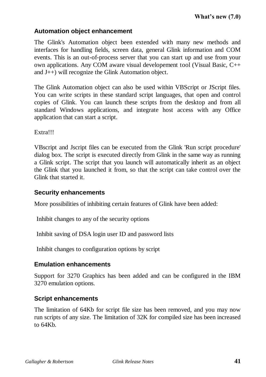## **Automation object enhancement**

The Glink's Automation object been extended with many new methods and interfaces for handling fields, screen data, general Glink information and COM events. This is an out-of-process server that you can start up and use from your own applications. Any COM aware visual developement tool (Visual Basic, C++ and J++) will recognize the Glink Automation object.

The Glink Automation object can also be used within VBScript or JScript files. You can write scripts in these standard script languages, that open and control copies of Glink. You can launch these scripts from the desktop and from all standard Windows applications, and integrate host access with any Office application that can start a script.

Extra!!!

VBscript and Jscript files can be executed from the Glink 'Run script procedure' dialog box. The script is executed directly from Glink in the same way as running a Glink script. The script that you launch will automatically inherit as an object the Glink that you launched it from, so that the script can take control over the Glink that started it.

#### **Security enhancements**

More possibilities of inhibiting certain features of Glink have been added:

Inhibit changes to any of the security options

Inhibit saving of DSA login user ID and password lists

Inhibit changes to configuration options by script

#### **Emulation enhancements**

Support for 3270 Graphics has been added and can be configured in the IBM 3270 emulation options.

#### **Script enhancements**

The limitation of 64Kb for script file size has been removed, and you may now run scripts of any size. The limitation of 32K for compiled size has been increased to 64Kb.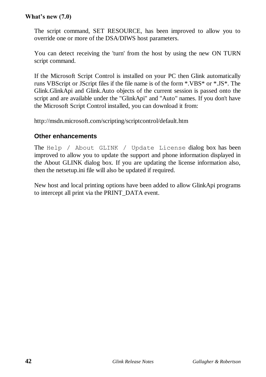#### **What's new (7.0)**

The script command, SET RESOURCE, has been improved to allow you to override one or more of the DSA/DIWS host parameters.

You can detect receiving the 'turn' from the host by using the new ON TURN script command.

If the Microsoft Script Control is installed on your PC then Glink automatically runs VBScript or JScript files if the file name is of the form \*.VBS\* or \*.JS\*. The Glink.GlinkApi and Glink.Auto objects of the current session is passed onto the script and are available under the "GlinkApi" and "Auto" names. If you don't have the Microsoft Script Control installed, you can download it from:

http://msdn.microsoft.com/scripting/scriptcontrol/default.htm

## **Other enhancements**

The Help / About GLINK / Update License dialog box has been improved to allow you to update the support and phone information displayed in the About GLINK dialog box. If you are updating the license information also, then the netsetup.ini file will also be updated if required.

New host and local printing options have been added to allow GlinkApi programs to intercept all print via the PRINT\_DATA event.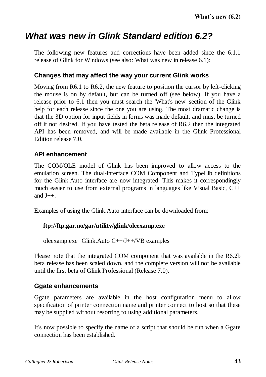# *What was new in Glink Standard edition 6.2?*

The following new features and corrections have been added since the 6.1.1 release of Glink for Windows (see also: What was new in release 6.1):

### **Changes that may affect the way your current Glink works**

Moving from R6.1 to R6.2, the new feature to position the cursor by left-clicking the mouse is on by default, but can be turned off (see below). If you have a release prior to 6.1 then you must search the 'What's new' section of the Glink help for each release since the one you are using. The most dramatic change is that the 3D option for input fields in forms was made default, and must be turned off if not desired. If you have tested the beta release of R6.2 then the integrated API has been removed, and will be made available in the Glink Professional Edition release 7.0.

### **API enhancement**

The COM/OLE model of Glink has been improved to allow access to the emulation screen. The dual-interface COM Component and TypeLib definitions for the Glink.Auto interface are now integrated. This makes it correspondingly much easier to use from external programs in languages like Visual Basic, C++ and  $J_{++}$ .

Examples of using the Glink.Auto interface can be downloaded from:

#### **ftp://ftp.gar.no/gar/utility/glink/oleexamp.exe**

oleexamp.exe Glink.Auto C++/J++/VB examples

Please note that the integrated COM component that was available in the R6.2b beta release has been scaled down, and the complete version will not be available until the first beta of Glink Professional (Release 7.0).

## **Ggate enhancements**

Ggate parameters are available in the host configuration menu to allow specification of printer connection name and printer connect to host so that these may be supplied without resorting to using additional parameters.

It's now possible to specify the name of a script that should be run when a Ggate connection has been established.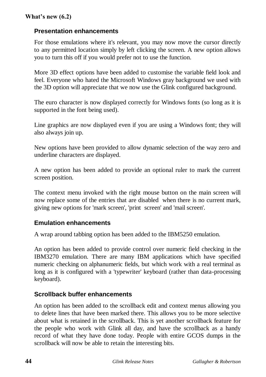## **Presentation enhancements**

For those emulations where it's relevant, you may now move the cursor directly to any permitted location simply by left clicking the screen. A new option allows you to turn this off if you would prefer not to use the function.

More 3D effect options have been added to customise the variable field look and feel. Everyone who hated the Microsoft Windows gray background we used with the 3D option will appreciate that we now use the Glink configured background.

The euro character is now displayed correctly for Windows fonts (so long as it is supported in the font being used).

Line graphics are now displayed even if you are using a Windows font; they will also always join up.

New options have been provided to allow dynamic selection of the way zero and underline characters are displayed.

A new option has been added to provide an optional ruler to mark the current screen position.

The context menu invoked with the right mouse button on the main screen will now replace some of the entries that are disabled when there is no current mark, giving new options for 'mark screen', 'print screen' and 'mail screen'.

## **Emulation enhancements**

A wrap around tabbing option has been added to the IBM5250 emulation.

An option has been added to provide control over numeric field checking in the IBM3270 emulation. There are many IBM applications which have specified numeric checking on alphanumeric fields, but which work with a real terminal as long as it is configured with a 'typewriter' keyboard (rather than data-processing keyboard).

## **Scrollback buffer enhancements**

An option has been added to the scrollback edit and context menus allowing you to delete lines that have been marked there. This allows you to be more selective about what is retained in the scrollback. This is yet another scrollback feature for the people who work with Glink all day, and have the scrollback as a handy record of what they have done today. People with entire GCOS dumps in the scrollback will now be able to retain the interesting bits.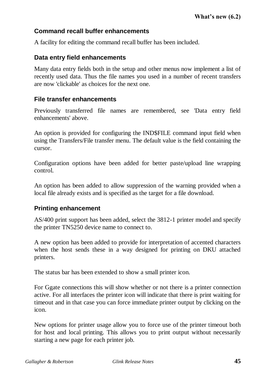## **Command recall buffer enhancements**

A facility for editing the command recall buffer has been included.

#### **Data entry field enhancements**

Many data entry fields both in the setup and other menus now implement a list of recently used data. Thus the file names you used in a number of recent transfers are now 'clickable' as choices for the next one.

### **File transfer enhancements**

Previously transferred file names are remembered, see 'Data entry field enhancements' above.

An option is provided for configuring the IND\$FILE command input field when using the Transfers/File transfer menu. The default value is the field containing the cursor.

Configuration options have been added for better paste/upload line wrapping control.

An option has been added to allow suppression of the warning provided when a local file already exists and is specified as the target for a file download.

## **Printing enhancement**

AS/400 print support has been added, select the 3812-1 printer model and specify the printer TN5250 device name to connect to.

A new option has been added to provide for interpretation of accented characters when the host sends these in a way designed for printing on DKU attached printers.

The status bar has been extended to show a small printer icon.

For Ggate connections this will show whether or not there is a printer connection active. For all interfaces the printer icon will indicate that there is print waiting for timeout and in that case you can force immediate printer output by clicking on the icon.

New options for printer usage allow you to force use of the printer timeout both for host and local printing. This allows you to print output without necessarily starting a new page for each printer job.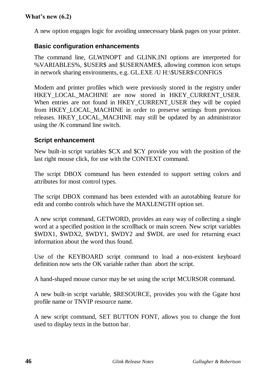A new option engages logic for avoiding unnecessary blank pages on your printer.

## **Basic configuration enhancements**

The command line, GLWINOPT and GLINK.INI options are interpreted for %VARIABLES%, \$USER\$ and \$USERNAME\$, allowing common icon setups in network sharing environments, e.g. GL.EXE /U H:\\$USER\$\CONFIGS

Modem and printer profiles which were previously stored in the registry under HKEY LOCAL MACHINE are now stored in HKEY CURRENT USER. When entries are not found in HKEY CURRENT USER they will be copied from HKEY\_LOCAL\_MACHINE in order to preserve settings from previous releases. HKEY\_LOCAL\_MACHINE may still be updated by an administrator using the /K command line switch.

## **Script enhancement**

New built-in script variables \$CX and \$CY provide you with the position of the last right mouse click, for use with the CONTEXT command.

The script DBOX command has been extended to support setting colors and attributes for most control types.

The script DBOX command has been extended with an autotabbing feature for edit and combo controls which have the MAXLENGTH option set.

A new script command, GETWORD, provides an easy way of collecting a single word at a specified position in the scrollback or main screen. New script variables \$WDX1, \$WDX2, \$WDY1, \$WDY2 and \$WDL are used for returning exact information about the word thus found.

Use of the KEYBOARD script command to load a non-existent keyboard definition now sets the OK variable rather than abort the script.

A hand-shaped mouse cursor may be set using the script MCURSOR command.

A new built-in script variable, \$RESOURCE, provides you with the Ggate host profile name or TNVIP resource name.

A new script command, SET BUTTON FONT, allows you to change the font used to display texts in the button bar.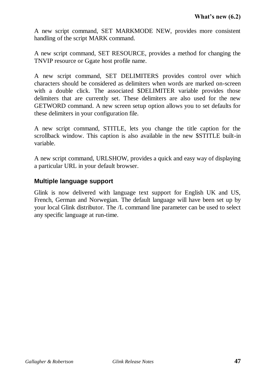A new script command, SET MARKMODE NEW, provides more consistent handling of the script MARK command.

A new script command, SET RESOURCE, provides a method for changing the TNVIP resource or Ggate host profile name.

A new script command, SET DELIMITERS provides control over which characters should be considered as delimiters when words are marked on-screen with a double click. The associated \$DELIMITER variable provides those delimiters that are currently set. These delimiters are also used for the new GETWORD command. A new screen setup option allows you to set defaults for these delimiters in your configuration file.

A new script command, STITLE, lets you change the title caption for the scrollback window. This caption is also available in the new \$STITLE built-in variable.

A new script command, URLSHOW, provides a quick and easy way of displaying a particular URL in your default browser.

## **Multiple language support**

Glink is now delivered with language text support for English UK and US, French, German and Norwegian. The default language will have been set up by your local Glink distributor. The /L command line parameter can be used to select any specific language at run-time.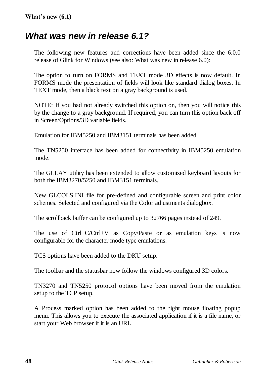#### **What's new (6.1)**

## *What was new in release 6.1?*

The following new features and corrections have been added since the 6.0.0 release of Glink for Windows (see also: What was new in release 6.0):

The option to turn on FORMS and TEXT mode 3D effects is now default. In FORMS mode the presentation of fields will look like standard dialog boxes. In TEXT mode, then a black text on a gray background is used.

NOTE: If you had not already switched this option on, then you will notice this by the change to a gray background. If required, you can turn this option back off in Screen/Options/3D variable fields.

Emulation for IBM5250 and IBM3151 terminals has been added.

The TN5250 interface has been added for connectivity in IBM5250 emulation mode.

The GLLAY utility has been extended to allow customized keyboard layouts for both the IBM3270/5250 and IBM3151 terminals.

New GLCOLS.INI file for pre-defined and configurable screen and print color schemes. Selected and configured via the Color adjustments dialogbox.

The scrollback buffer can be configured up to 32766 pages instead of 249.

The use of Ctrl+C/Ctrl+V as Copy/Paste or as emulation keys is now configurable for the character mode type emulations.

TCS options have been added to the DKU setup.

The toolbar and the statusbar now follow the windows configured 3D colors.

TN3270 and TN5250 protocol options have been moved from the emulation setup to the TCP setup.

A Process marked option has been added to the right mouse floating popup menu. This allows you to execute the associated application if it is a file name, or start your Web browser if it is an URL.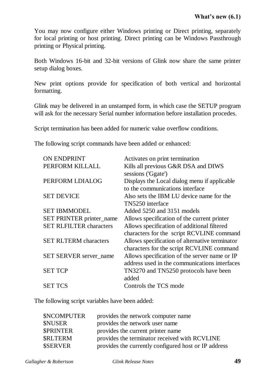You may now configure either Windows printing or Direct printing, separately for local printing or host printing. Direct printing can be Windows Passthrough printing or Physical printing.

Both Windows 16-bit and 32-bit versions of Glink now share the same printer setup dialog boxes.

New print options provide for specification of both vertical and horizontal formatting.

Glink may be delivered in an unstamped form, in which case the SETUP program will ask for the necessary Serial number information before installation procedes.

Script termination has been added for numeric value overflow conditions.

The following script commands have been added or enhanced:

| <b>ON ENDPRINT</b>             | Activates on print termination                                                                 |
|--------------------------------|------------------------------------------------------------------------------------------------|
| PERFORM KILLALL                | Kills all previous G&R DSA and DIWS<br>sessions ('Ggate')                                      |
| PERFORM LDIALOG                | Displays the Local dialog menu if applicable<br>to the communications interface                |
| <b>SET DEVICE</b>              | Also sets the IBM LU device name for the<br>TN5250 interface                                   |
| <b>SET IBMMODEL</b>            | Added 5250 and 3151 models                                                                     |
| SET PRINTER printer_name       | Allows specification of the current printer                                                    |
| <b>SET RLFILTER characters</b> | Allows specification of additional filtered<br>characters for the script RCVLINE command       |
| <b>SET RLTERM</b> characters   | Allows specification of alternative terminator<br>characters for the script RCVLINE command    |
| SET SERVER server name         | Allows specification of the server name or IP<br>address used in the communications interfaces |
| <b>SET TCP</b>                 | TN3270 and TN5250 protocols have been<br>added                                                 |
| <b>SET TCS</b>                 | Controls the TCS mode                                                                          |

The following script variables have been added:

| \$NCOMPUTER     | provides the network computer name                   |
|-----------------|------------------------------------------------------|
| <b>\$NUSER</b>  | provides the network user name                       |
| <b>SPRINTER</b> | provides the current printer name                    |
| <b>SRLTERM</b>  | provides the terminator received with RCVLINE        |
| <b>\$SERVER</b> | provides the currently configured host or IP address |
|                 |                                                      |

*Gallagher & Robertson Glink Release Notes* **49**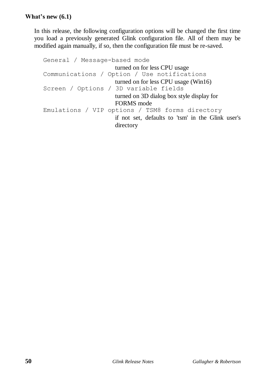In this release, the following configuration options will be changed the first time you load a previously generated Glink configuration file. All of them may be modified again manually, if so, then the configuration file must be re-saved.

```
General / Message-based mode
                      turned on for less CPU usage
Communications / Option / Use notifications
                      turned on for less CPU usage (Win16)
Screen / Options / 3D variable fields
                      turned on 3D dialog box style display for 
                      FORMS mode
Emulations / VIP options / TSM8 forms directory
                      if not set, defaults to 'tsm' in the Glink user's 
                      directory
```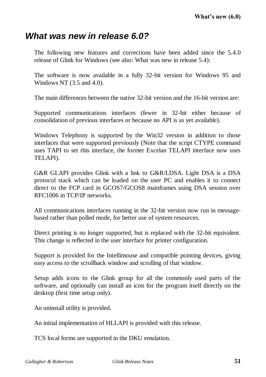## *What was new in release 6.0?*

The following new features and corrections have been added since the 5.4.0 release of Glink for Windows (see also: What was new in release 5.4):

The software is now available in a fully 32-bit version for Windows 95 and Windows NT  $(3.5 \text{ and } 4.0)$ .

The main differences between the native 32-bit version and the 16-bit version are:

Supported communications interfaces (fewer in 32-bit either because of consolidation of previous interfaces or because no API is as yet available).

Windows Telephony is supported by the Win32 version in addition to those interfaces that were supported previously (Note that the script CTYPE command uses TAPI to set this interface, the former Excelan TELAPI interface now uses TELAPI).

G&R GLAPI provides Glink with a link to G&R/LDSA. Light DSA is a DSA protocol stack which can be loaded on the user PC and enables it to connect direct to the FCP card in GCOS7/GCOS8 mainframes using DSA session over RFC1006 in TCP/IP networks.

All communications interfaces running in the 32-bit version now run in messagebased rather than polled mode, for better use of system resources.

Direct printing is no longer supported, but is replaced with the 32-bit equivalent. This change is reflected in the user interface for printer configuration.

Support is provided for the Intellimouse and compatible pointing devices, giving easy access to the scrollback window and scrolling of that window.

Setup adds icons to the Glink group for all the commonly used parts of the software, and optionally can install an icon for the program itself directly on the desktop (first time setup only).

An uninstall utility is provided.

An initial implementation of HLLAPI is provided with this release.

TCS local forms are supported in the DKU emulation.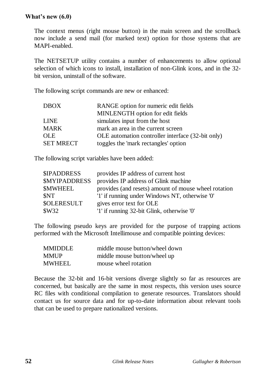#### **What's new (6.0)**

The context menus (right mouse button) in the main screen and the scrollback now include a send mail (for marked text) option for those systems that are MAPI-enabled.

The NETSETUP utility contains a number of enhancements to allow optional selection of which icons to install, installation of non-Glink icons, and in the 32 bit version, uninstall of the software.

The following script commands are new or enhanced:

| <b>DBOX</b>      | RANGE option for numeric edit fields              |
|------------------|---------------------------------------------------|
|                  | MINLENGTH option for edit fields                  |
| <b>LINE</b>      | simulates input from the host                     |
| <b>MARK</b>      | mark an area in the current screen                |
| OLE.             | OLE automation controller interface (32-bit only) |
| <b>SET MRECT</b> | toggles the 'mark rectangles' option              |

The following script variables have been added:

| <b>\$IPADDRESS</b>   | provides IP address of current host                  |
|----------------------|------------------------------------------------------|
| <b>\$MYIPADDRESS</b> | provides IP address of Glink machine                 |
| <b>SMWHEEL</b>       | provides (and resets) amount of mouse wheel rotation |
| <b>SNT</b>           | '1' if running under Windows NT, otherwise '0'       |
| <b>\$OLERESULT</b>   | gives error text for OLE                             |
| <b>SW32</b>          | '1' if running 32-bit Glink, otherwise '0'           |

The following pseudo keys are provided for the purpose of trapping actions performed with the Microsoft Intellimouse and compatible pointing devices:

| <b>MMIDDLE</b> | middle mouse button/wheel down |
|----------------|--------------------------------|
| <b>MMUP</b>    | middle mouse button/wheel up   |
| <b>MWHEEL</b>  | mouse wheel rotation           |

Because the 32-bit and 16-bit versions diverge slightly so far as resources are concerned, but basically are the same in most respects, this version uses source RC files with conditional compilation to generate resources. Translators should contact us for source data and for up-to-date information about relevant tools that can be used to prepare nationalized versions.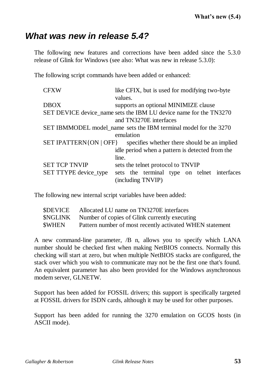# *What was new in release 5.4?*

The following new features and corrections have been added since the 5.3.0 release of Glink for Windows (see also: What was new in release 5.3.0):

The following script commands have been added or enhanced:

| <b>CFXW</b>                   | like CFIX, but is used for modifying two-byte                     |
|-------------------------------|-------------------------------------------------------------------|
|                               | values.                                                           |
| <b>DBOX</b>                   | supports an optional MINIMIZE clause                              |
|                               | SET DEVICE device name sets the IBM LU device name for the TN3270 |
|                               | and TN3270E interfaces                                            |
|                               | SET IBMMODEL model_name_sets the IBM terminal model for the 3270  |
|                               | emulation                                                         |
| <b>SET IPATTERN{ON   OFF}</b> | specifies whether there should be an implied                      |
|                               | idle period when a pattern is detected from the                   |
|                               | line.                                                             |
| <b>SET TCP TNVIP</b>          | sets the telnet protocol to TNVIP                                 |
| SET TTYPE device_type         | sets the terminal type on telnet interfaces                       |
|                               | (including TNVIP)                                                 |

The following new internal script variables have been added:

| <b>SDEVICE</b> | Allocated LU name on TN3270E interfaces                  |
|----------------|----------------------------------------------------------|
|                | \$NGLINK Number of copies of Glink currently executing   |
| SWHEN          | Pattern number of most recently activated WHEN statement |

A new command-line parameter, /B n, allows you to specify which LANA number should be checked first when making NetBIOS connects. Normally this checking will start at zero, but when multiple NetBIOS stacks are configured, the stack over which you wish to communicate may not be the first one that's found. An equivalent parameter has also been provided for the Windows asynchronous modem server, GLNETW.

Support has been added for FOSSIL drivers; this support is specifically targeted at FOSSIL drivers for ISDN cards, although it may be used for other purposes.

Support has been added for running the 3270 emulation on GCOS hosts (in ASCII mode).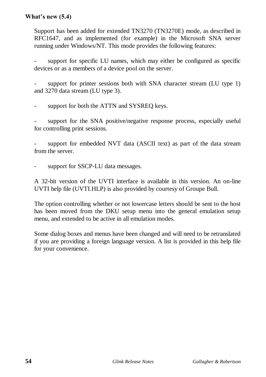#### **What's new (5.4)**

Support has been added for extended TN3270 (TN3270E) mode, as described in RFC1647, and as implemented (for example) in the Microsoft SNA server running under Windows/NT. This mode provides the following features:

support for specific LU names, which may either be configured as specific devices or as a members of a device pool on the server.

support for printer sessions both with SNA character stream (LU type 1) and 3270 data stream (LU type 3).

support for both the ATTN and SYSREQ keys.

support for the SNA positive/negative response process, especially useful for controlling print sessions.

support for embedded NVT data (ASCII text) as part of the data stream from the server.

support for SSCP-LU data messages.

A 32-bit version of the UVTI interface is available in this version. An on-line UVTI help file (UVTI.HLP) is also provided by courtesy of Groupe Bull.

The option controlling whether or not lowercase letters should be sent to the host has been moved from the DKU setup menu into the general emulation setup menu, and extended to be active in all emulation modes.

Some dialog boxes and menus have been changed and will need to be retranslated if you are providing a foreign language version. A list is provided in this help file for your convenience.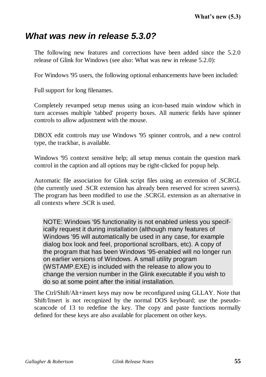# *What was new in release 5.3.0?*

The following new features and corrections have been added since the 5.2.0 release of Glink for Windows (see also: What was new in release 5.2.0):

For Windows '95 users, the following optional enhancements have been included:

Full support for long filenames.

Completely revamped setup menus using an icon-based main window which in turn accesses multiple 'tabbed' property boxes. All numeric fields have spinner controls to allow adjustment with the mouse.

DBOX edit controls may use Windows '95 spinner controls, and a new control type, the trackbar, is available.

Windows '95 context sensitive help; all setup menus contain the question mark control in the caption and all options may be right-clicked for popup help.

Automatic file association for Glink script files using an extension of .SCRGL (the currently used .SCR extension has already been reserved for screen savers). The program has been modified to use the .SCRGL extension as an alternative in all contexts where .SCR is used.

NOTE: Windows '95 functionality is not enabled unless you specifically request it during installation (although many features of Windows '95 will automatically be used in any case, for example dialog box look and feel, proportional scrollbars, etc). A copy of the program that has been Windows '95-enabled will no longer run on earlier versions of Windows. A small utility program (WSTAMP.EXE) is included with the release to allow you to change the version number in the Glink executable if you wish to do so at some point after the initial installation.

The Ctrl/Shift/Alt+insert keys may now be reconfigured using GLLAY. Note that Shift/Insert is not recognized by the normal DOS keyboard; use the pseudoscancode of 13 to redefine the key. The copy and paste functions normally defined for these keys are also available for placement on other keys.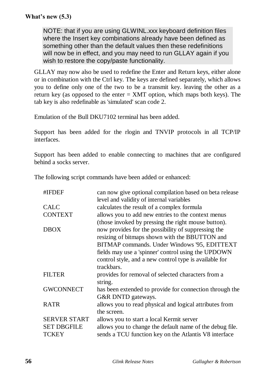#### **What's new (5.3)**

NOTE: that if you are using GLWINL.xxx keyboard definition files where the Insert key combinations already have been defined as something other than the default values then these redefinitions will now be in effect, and you may need to run GLLAY again if you wish to restore the copy/paste functionality.

GLLAY may now also be used to redefine the Enter and Return keys, either alone or in combination with the Ctrl key. The keys are defined separately, which allows you to define only one of the two to be a transmit key. leaving the other as a return key (as opposed to the enter  $=$  XMT option, which maps both keys). The tab key is also redefinable as 'simulated' scan code 2.

Emulation of the Bull DKU7102 terminal has been added.

Support has been added for the rlogin and TNVIP protocols in all TCP/IP interfaces.

Support has been added to enable connecting to machines that are configured behind a socks server.

The following script commands have been added or enhanced:

| #IFDEF              | can now give optional compilation based on beta release  |
|---------------------|----------------------------------------------------------|
|                     | level and validity of internal variables                 |
| <b>CALC</b>         | calculates the result of a complex formula               |
| <b>CONTEXT</b>      | allows you to add new entries to the context menus       |
|                     | (those invoked by pressing the right mouse button).      |
| <b>DBOX</b>         | now provides for the possibility of suppressing the      |
|                     | resizing of bitmaps shown with the BBUTTON and           |
|                     | BITMAP commands. Under Windows '95, EDITTEXT             |
|                     | fields may use a 'spinner' control using the UPDOWN      |
|                     | control style, and a new control type is available for   |
|                     | trackbars.                                               |
| <b>FILTER</b>       | provides for removal of selected characters from a       |
|                     | string.                                                  |
| <b>GWCONNECT</b>    | has been extended to provide for connection through the  |
|                     | G&R DNTD gateways.                                       |
| <b>RATR</b>         | allows you to read physical and logical attributes from  |
|                     | the screen.                                              |
| <b>SERVER START</b> | allows you to start a local Kermit server                |
| <b>SET DBGFILE</b>  | allows you to change the default name of the debug file. |
| <b>TCKEY</b>        | sends a TCU function key on the Atlantis V8 interface    |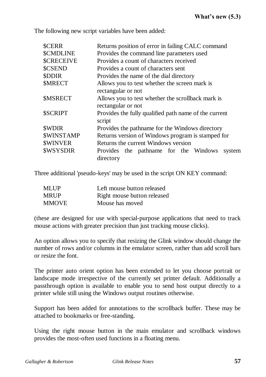The following new script variables have been added:

| <b>SCERR</b>      | Returns position of error in failing CALC command                       |
|-------------------|-------------------------------------------------------------------------|
| <b>SCMDLINE</b>   | Provides the command line parameters used                               |
| <b>\$CRECEIVE</b> | Provides a count of characters received                                 |
| <b>\$CSEND</b>    | Provides a count of characters sent                                     |
| <b>SDDIR</b>      | Provides the name of the dial directory                                 |
| <b>SMRECT</b>     | Allows you to test whether the screen mark is                           |
|                   | rectangular or not                                                      |
| <b>SMSRECT</b>    | Allows you to test whether the scrollback mark is<br>rectangular or not |
| <b>\$SCRIPT</b>   | Provides the fully qualified path name of the current<br>script         |
| <b>SWDIR</b>      | Provides the pathname for the Windows directory                         |
| <b>\$WINSTAMP</b> | Returns version of Windows program is stamped for                       |
| <b>\$WINVER</b>   | Returns the current Windows version                                     |
| <b>\$WSYSDIR</b>  | Provides the pathname for the Windows<br>system<br>directory            |

Three additional 'pseudo-keys' may be used in the script ON KEY command:

| <b>MLUP</b> | Left mouse button released  |
|-------------|-----------------------------|
| <b>MRUP</b> | Right mouse button released |
| MMOVE       | Mouse has moved             |

(these are designed for use with special-purpose applications that need to track mouse actions with greater precision than just tracking mouse clicks).

An option allows you to specify that resizing the Glink window should change the number of rows and/or columns in the emulator screen, rather than add scroll bars or resize the font.

The printer auto orient option has been extended to let you choose portrait or landscape mode irrespective of the currently set printer default. Additionally a passthrough option is available to enable you to send host output directly to a printer while still using the Windows output routines otherwise.

Support has been added for annotations to the scrollback buffer. These may be attached to bookmarks or free-standing.

Using the right mouse button in the main emulator and scrollback windows provides the most-often used functions in a floating menu.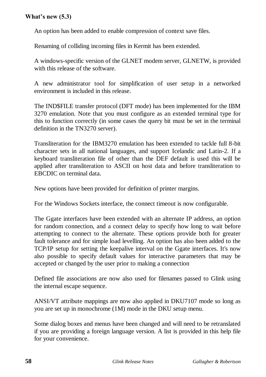## **What's new (5.3)**

An option has been added to enable compression of context save files.

Renaming of colliding incoming files in Kermit has been extended.

A windows-specific version of the GLNET modem server, GLNETW, is provided with this release of the software.

A new administrator tool for simplification of user setup in a networked environment is included in this release.

The IND\$FILE transfer protocol (DFT mode) has been implemented for the IBM 3270 emulation. Note that you must configure as an extended terminal type for this to function correctly (in some cases the query bit must be set in the terminal definition in the TN3270 server).

Transliteration for the IBM3270 emulation has been extended to tackle full 8-bit character sets in all national languages, and support Icelandic and Latin-2. If a keyboard transliteration file of other than the DEF default is used this will be applied after transliteration to ASCII on host data and before transliteration to EBCDIC on terminal data.

New options have been provided for definition of printer margins.

For the Windows Sockets interface, the connect timeout is now configurable.

The Ggate interfaces have been extended with an alternate IP address, an option for random connection, and a connect delay to specify how long to wait before attempting to connect to the alternate. These options provide both for greater fault tolerance and for simple load levelling. An option has also been added to the TCP/IP setup for setting the keepalive interval on the Ggate interfaces. It's now also possible to specify default values for interactive parameters that may be accepted or changed by the user prior to making a connection

Defined file associations are now also used for filenames passed to Glink using the internal escape sequence.

ANSI/VT attribute mappings are now also applied in DKU7107 mode so long as you are set up in monochrome (1M) mode in the DKU setup menu.

Some dialog boxes and menus have been changed and will need to be retranslated if you are providing a foreign language version. A list is provided in this help file for your convenience.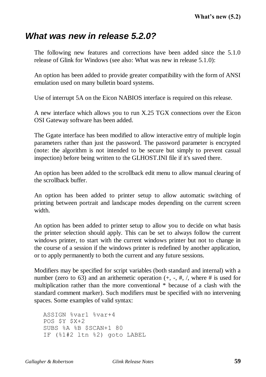## *What was new in release 5.2.0?*

The following new features and corrections have been added since the 5.1.0 release of Glink for Windows (see also: What was new in release 5.1.0):

An option has been added to provide greater compatibility with the form of ANSI emulation used on many bulletin board systems.

Use of interrupt 5A on the Eicon NABIOS interface is required on this release.

A new interface which allows you to run X.25 TGX connections over the Eicon OSI Gateway software has been added.

The Ggate interface has been modified to allow interactive entry of multiple login parameters rather than just the password. The password parameter is encrypted (note: the algorithm is not intended to be secure but simply to prevent casual inspection) before being written to the GLHOST.INI file if it's saved there.

An option has been added to the scrollback edit menu to allow manual clearing of the scrollback buffer.

An option has been added to printer setup to allow automatic switching of printing between portrait and landscape modes depending on the current screen width.

An option has been added to printer setup to allow you to decide on what basis the printer selection should apply. This can be set to always follow the current windows printer, to start with the current windows printer but not to change in the course of a session if the windows printer is redefined by another application, or to apply permanently to both the current and any future sessions.

Modifiers may be specified for script variables (both standard and internal) with a number (zero to 63) and an arithemetic operation  $(+, -, #, /,$  where # is used for multiplication rather than the more conventional \* because of a clash with the standard comment marker). Such modifiers must be specified with no intervening spaces. Some examples of valid syntax:

```
ASSIGN %var1 %var+4
POS $Y $X+2
SUBS %A %B $SCAN+1 80
IF (%1#2 ltn %2) goto LABEL
```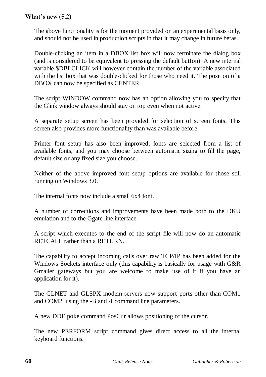#### **What's new (5.2)**

The above functionality is for the moment provided on an experimental basis only, and should not be used in production scripts in that it may change in future betas.

Double-clicking an item in a DBOX list box will now terminate the dialog box (and is considered to be equivalent to pressing the default button). A new internal variable \$DBLCLICK will however contain the number of the variable associated with the list box that was double-clicked for those who need it. The position of a DBOX can now be specified as CENTER.

The script WINDOW command now has an option allowing you to specify that the Glink window always should stay on top even when not active.

A separate setup screen has been provided for selection of screen fonts. This screen also provides more functionality than was available before.

Printer font setup has also been improved; fonts are selected from a list of available fonts, and you may choose between automatic sizing to fill the page, default size or any fixed size you choose.

Neither of the above improved font setup options are available for those still running on Windows 3.0.

The internal fonts now include a small 6x4 font.

A number of corrections and improvements have been made both to the DKU emulation and to the Ggate line interface.

A script which executes to the end of the script file will now do an automatic RETCALL rather than a RETURN.

The capability to accept incoming calls over raw TCP/IP has been added for the Windows Sockets interface only (this capability is basically for usage with G&R Gmailer gateways but you are welcome to make use of it if you have an application for it).

The GLNET and GLSPX modem servers now support ports other than COM1 and COM2, using the -B and -I command line parameters.

A new DDE poke command PosCur allows positioning of the cursor.

The new PERFORM script command gives direct access to all the internal keyboard functions.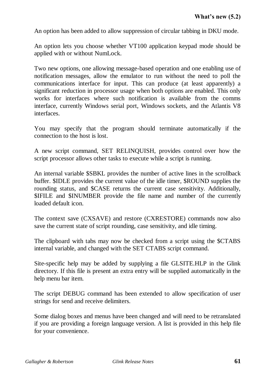An option has been added to allow suppression of circular tabbing in DKU mode.

An option lets you choose whether VT100 application keypad mode should be applied with or without NumLock.

Two new options, one allowing message-based operation and one enabling use of notification messages, allow the emulator to run without the need to poll the communications interface for input. This can produce (at least apparently) a significant reduction in processor usage when both options are enabled. This only works for interfaces where such notification is available from the comms interface, currently Windows serial port, Windows sockets, and the Atlantis V8 interfaces.

You may specify that the program should terminate automatically if the connection to the host is lost.

A new script command, SET RELINQUISH, provides control over how the script processor allows other tasks to execute while a script is running.

An internal variable \$SBKL provides the number of active lines in the scrollback buffer. \$IDLE provides the current value of the idle timer, \$ROUND supplies the rounding status, and \$CASE returns the current case sensitivity. Additionally, \$IFILE and \$INUMBER provide the file name and number of the currently loaded default icon.

The context save (CXSAVE) and restore (CXRESTORE) commands now also save the current state of script rounding, case sensitivity, and idle timing.

The clipboard with tabs may now be checked from a script using the \$CTABS internal variable, and changed with the SET CTABS script command.

Site-specific help may be added by supplying a file GLSITE.HLP in the Glink directory. If this file is present an extra entry will be supplied automatically in the help menu bar item.

The script DEBUG command has been extended to allow specification of user strings for send and receive delimiters.

Some dialog boxes and menus have been changed and will need to be retranslated if you are providing a foreign language version. A list is provided in this help file for your convenience.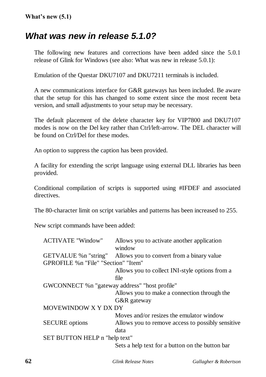### **What's new (5.1)**

## *What was new in release 5.1.0?*

The following new features and corrections have been added since the 5.0.1 release of Glink for Windows (see also: What was new in release 5.0.1):

Emulation of the Questar DKU7107 and DKU7211 terminals is included.

A new communications interface for G&R gateways has been included. Be aware that the setup for this has changed to some extent since the most recent beta version, and small adjustments to your setup may be necessary.

The default placement of the delete character key for VIP7800 and DKU7107 modes is now on the Del key rather than Ctrl/left-arrow. The DEL character will be found on Ctrl/Del for these modes.

An option to suppress the caption has been provided.

A facility for extending the script language using external DLL libraries has been provided.

Conditional compilation of scripts is supported using #IFDEF and associated directives.

The 80-character limit on script variables and patterns has been increased to 255.

New script commands have been added:

| <b>ACTIVATE "Window"</b>                      | Allows you to activate another application                      |
|-----------------------------------------------|-----------------------------------------------------------------|
|                                               | window                                                          |
|                                               | GETVALUE % n "string" Allows you to convert from a binary value |
| GPROFILE % n "File" "Section" "Item"          |                                                                 |
|                                               | Allows you to collect INI-style options from a                  |
|                                               | file                                                            |
| GWCONNECT %n "gateway address" "host profile" |                                                                 |
|                                               | Allows you to make a connection through the                     |
|                                               | G&R gateway                                                     |
| MOVEWINDOW X Y DX DY                          |                                                                 |
|                                               | Moves and/or resizes the emulator window                        |
| <b>SECURE</b> options                         | Allows you to remove access to possibly sensitive               |
|                                               | data                                                            |
| SET BUTTON HELP n "help text"                 |                                                                 |
|                                               | Sets a help text for a button on the button bar                 |
|                                               |                                                                 |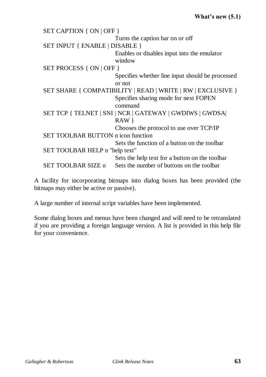| Turns the caption bar on or off<br>Enables or disables input into the emulator<br>window<br>Specifies whether line input should be processed<br>or not<br>SET SHARE { COMPATIBILITY   READ   WRITE   RW   EXCLUSIVE }<br>Specifies sharing mode for next FOPEN<br>command<br>$RAW$ }<br>Chooses the protocol to use over TCP/IP<br>Sets the function of a button on the toolbar | SET INPUT { ENABLE   DISABLE }<br>SET PROCESS { ON   OFF }<br>SET TCP { TELNET   SNI   NCR   GATEWAY   GWDIWS   GWDSA <br><b>SET TOOLBAR BUTTON</b> n icon function<br>SET TOOLBAR HELP n "help text" | SET CAPTION { ON   OFF } |  |
|---------------------------------------------------------------------------------------------------------------------------------------------------------------------------------------------------------------------------------------------------------------------------------------------------------------------------------------------------------------------------------|-------------------------------------------------------------------------------------------------------------------------------------------------------------------------------------------------------|--------------------------|--|
|                                                                                                                                                                                                                                                                                                                                                                                 |                                                                                                                                                                                                       |                          |  |
|                                                                                                                                                                                                                                                                                                                                                                                 |                                                                                                                                                                                                       |                          |  |
|                                                                                                                                                                                                                                                                                                                                                                                 |                                                                                                                                                                                                       |                          |  |
|                                                                                                                                                                                                                                                                                                                                                                                 |                                                                                                                                                                                                       |                          |  |
|                                                                                                                                                                                                                                                                                                                                                                                 |                                                                                                                                                                                                       |                          |  |
|                                                                                                                                                                                                                                                                                                                                                                                 |                                                                                                                                                                                                       |                          |  |
|                                                                                                                                                                                                                                                                                                                                                                                 |                                                                                                                                                                                                       |                          |  |
|                                                                                                                                                                                                                                                                                                                                                                                 |                                                                                                                                                                                                       |                          |  |
|                                                                                                                                                                                                                                                                                                                                                                                 |                                                                                                                                                                                                       |                          |  |
|                                                                                                                                                                                                                                                                                                                                                                                 |                                                                                                                                                                                                       |                          |  |
|                                                                                                                                                                                                                                                                                                                                                                                 |                                                                                                                                                                                                       |                          |  |
|                                                                                                                                                                                                                                                                                                                                                                                 |                                                                                                                                                                                                       |                          |  |
|                                                                                                                                                                                                                                                                                                                                                                                 |                                                                                                                                                                                                       |                          |  |
| Sets the help text for a button on the toolbar                                                                                                                                                                                                                                                                                                                                  |                                                                                                                                                                                                       |                          |  |
|                                                                                                                                                                                                                                                                                                                                                                                 | Sets the number of buttons on the toolbar<br>SET TOOLBAR SIZE n                                                                                                                                       |                          |  |

A facility for incorporating bitmaps into dialog boxes has been provided (the bitmaps may either be active or passive).

A large number of internal script variables have been implemented.

Some dialog boxes and menus have been changed and will need to be retranslated if you are providing a foreign language version. A list is provided in this help file for your convenience.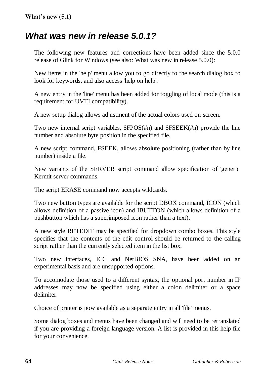### **What's new (5.1)**

## *What was new in release 5.0.1?*

The following new features and corrections have been added since the 5.0.0 release of Glink for Windows (see also: What was new in release 5.0.0):

New items in the 'help' menu allow you to go directly to the search dialog box to look for keywords, and also access 'help on help'.

A new entry in the 'line' menu has been added for toggling of local mode (this is a requirement for UVTI compatibility).

A new setup dialog allows adjustment of the actual colors used on-screen.

Two new internal script variables,  $\text{SFDOS}(m)$  and  $\text{SFSEEK}(m)$  provide the line number and absolute byte position in the specified file.

A new script command, FSEEK, allows absolute positioning (rather than by line number) inside a file.

New variants of the SERVER script command allow specification of 'generic' Kermit server commands.

The script ERASE command now accepts wildcards.

Two new button types are available for the script DBOX command, ICON (which allows definition of a passive icon) and IBUTTON (which allows definition of a pushbutton which has a superimposed icon rather than a text).

A new style RETEDIT may be specified for dropdown combo boxes. This style specifies that the contents of the edit control should be returned to the calling script rather than the currently selected item in the list box.

Two new interfaces, ICC and NetBIOS SNA, have been added on an experimental basis and are unsupported options.

To accomodate those used to a different syntax, the optional port number in IP addresses may now be specified using either a colon delimiter or a space delimiter.

Choice of printer is now available as a separate entry in all 'file' menus.

Some dialog boxes and menus have been changed and will need to be retranslated if you are providing a foreign language version. A list is provided in this help file for your convenience.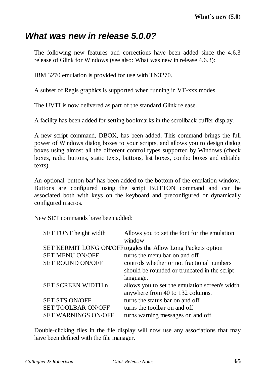# *What was new in release 5.0.0?*

The following new features and corrections have been added since the 4.6.3 release of Glink for Windows (see also: What was new in release 4.6.3):

IBM 3270 emulation is provided for use with TN3270.

A subset of Regis graphics is supported when running in VT-xxx modes.

The UVTI is now delivered as part of the standard Glink release.

A facility has been added for setting bookmarks in the scrollback buffer display.

A new script command, DBOX, has been added. This command brings the full power of Windows dialog boxes to your scripts, and allows you to design dialog boxes using almost all the different control types supported by Windows (check boxes, radio buttons, static texts, buttons, list boxes, combo boxes and editable texts).

An optional 'button bar' has been added to the bottom of the emulation window. Buttons are configured using the script BUTTON command and can be associated both with keys on the keyboard and preconfigured or dynamically configured macros.

New SET commands have been added:

| SET FONT height width      | Allows you to set the font for the emulation                 |
|----------------------------|--------------------------------------------------------------|
|                            | window                                                       |
|                            | SET KERMIT LONG ON/OFF toggles the Allow Long Packets option |
| <b>SET MENU ON/OFF</b>     | turns the menu bar on and off                                |
| <b>SET ROUND ON/OFF</b>    | controls whether or not fractional numbers                   |
|                            | should be rounded or truncated in the script                 |
|                            | language.                                                    |
| <b>SET SCREEN WIDTH n</b>  | allows you to set the emulation screen's width               |
|                            | anywhere from 40 to 132 columns.                             |
| <b>SET STS ON/OFF</b>      | turns the status bar on and off                              |
| <b>SET TOOLBAR ON/OFF</b>  | turns the toolbar on and off                                 |
| <b>SET WARNINGS ON/OFF</b> | turns warning messages on and off                            |

Double-clicking files in the file display will now use any associations that may have been defined with the file manager.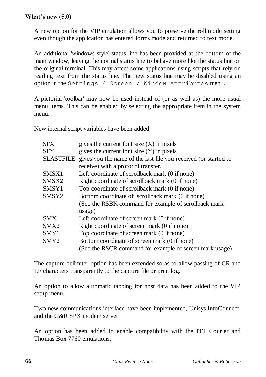A new option for the VIP emulation allows you to preserve the roll mode setting even though the application has entered forms mode and returned to text mode.

An additional 'windows-style' status line has been provided at the bottom of the main window, leaving the normal status line to behave more like the status line on the original terminal. This may affect some applications using scripts that rely on reading text from the status line. The new status line may be disabled using an option in the Settings / Screen / Window attributes menu.

A pictorial 'toolbar' may now be used instead of (or as well as) the more usual menu items. This can be enabled by selecting the appropriate item in the system menu.

New internal script variables have been added:

| \$FX              | gives the current font size $(X)$ in pixels                     |
|-------------------|-----------------------------------------------------------------|
| \$FY              | gives the current font size $(Y)$ in pixels                     |
| <b>\$LASTFILE</b> | gives you the name of the last file you received (or started to |
|                   | receive) with a protocol transfer.                              |
| <b>\$MSX1</b>     | Left coordinate of scrollback mark (0 if none)                  |
| \$MSX2            | Right coordinate of scrollback mark (0 if none)                 |
| \$MSY1            | Top coordinate of scrollback mark (0 if none)                   |
| \$MSY2            | Bottom coordinate of scrollback mark (0 if none)                |
|                   | (See the RSBK command for example of scrollback mark)           |
|                   | usage)                                                          |
| \$MX1             | Left coordinate of screen mark (0 if none)                      |
| \$MX2             | Right coordinate of screen mark (0 if none)                     |
| \$MY1             | Top coordinate of screen mark (0 if none)                       |
| \$MY2             | Bottom coordinate of screen mark (0 if none)                    |
|                   | (See the RSCR command for example of screen mark usage)         |

The capture delimiter option has been extended so as to allow passing of CR and LF characters transparently to the capture file or print log.

An option to allow automatic tabbing for host data has been added to the VIP setup menu.

Two new communications interface have been implemented, Unisys InfoConnect, and the G&R SPX modem server.

An option has been added to enable compatibility with the ITT Courier and Thomas Box 7760 emulations.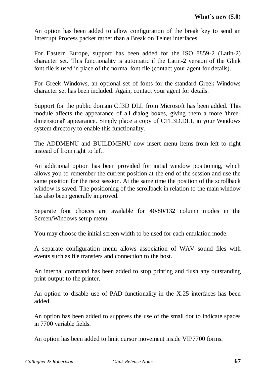An option has been added to allow configuration of the break key to send an Interrupt Process packet rather than a Break on Telnet interfaces.

For Eastern Europe, support has been added for the ISO 8859-2 (Latin-2) character set. This functionality is automatic if the Latin-2 version of the Glink font file is used in place of the normal font file (contact your agent for details).

For Greek Windows, an optional set of fonts for the standard Greek Windows character set has been included. Again, contact your agent for details.

Support for the public domain Ctl3D DLL from Microsoft has been added. This module affects the appearance of all dialog boxes, giving them a more 'threedimensional' appearance. Simply place a copy of CTL3D.DLL in your Windows system directory to enable this functionality.

The ADDMENU and BUILDMENU now insert menu items from left to right instead of from right to left.

An additional option has been provided for initial window positioning, which allows you to remember the current position at the end of the session and use the same position for the next session. At the same time the position of the scrollback window is saved. The positioning of the scrollback in relation to the main window has also been generally improved.

Separate font choices are available for 40/80/132 column modes in the Screen/Windows setup menu.

You may choose the initial screen width to be used for each emulation mode.

A separate configuration menu allows association of WAV sound files with events such as file transfers and connection to the host.

An internal command has been added to stop printing and flush any outstanding print output to the printer.

An option to disable use of PAD functionality in the X.25 interfaces has been added.

An option has been added to suppress the use of the small dot to indicate spaces in 7700 variable fields.

An option has been added to limit cursor movement inside VIP7700 forms.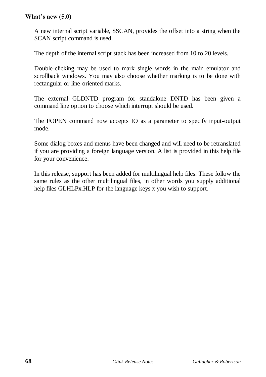#### **What's new (5.0)**

A new internal script variable, \$SCAN, provides the offset into a string when the SCAN script command is used.

The depth of the internal script stack has been increased from 10 to 20 levels.

Double-clicking may be used to mark single words in the main emulator and scrollback windows. You may also choose whether marking is to be done with rectangular or line-oriented marks.

The external GLDNTD program for standalone DNTD has been given a command line option to choose which interrupt should be used.

The FOPEN command now accepts IO as a parameter to specify input-output mode.

Some dialog boxes and menus have been changed and will need to be retranslated if you are providing a foreign language version. A list is provided in this help file for your convenience.

In this release, support has been added for multilingual help files. These follow the same rules as the other multilingual files, in other words you supply additional help files GLHLPx.HLP for the language keys x you wish to support.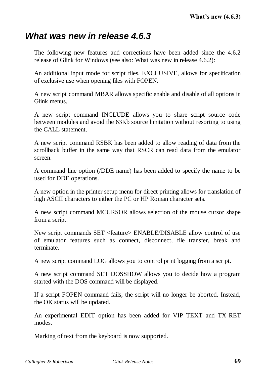### *What was new in release 4.6.3*

The following new features and corrections have been added since the 4.6.2 release of Glink for Windows (see also: What was new in release 4.6.2):

An additional input mode for script files, EXCLUSIVE, allows for specification of exclusive use when opening files with FOPEN.

A new script command MBAR allows specific enable and disable of all options in Glink menus.

A new script command INCLUDE allows you to share script source code between modules and avoid the 63Kb source limitation without resorting to using the CALL statement.

A new script command RSBK has been added to allow reading of data from the scrollback buffer in the same way that RSCR can read data from the emulator screen.

A command line option (/DDE name) has been added to specify the name to be used for DDE operations.

A new option in the printer setup menu for direct printing allows for translation of high ASCII characters to either the PC or HP Roman character sets.

A new script command MCURSOR allows selection of the mouse cursor shape from a script.

New script commands SET <feature> ENABLE/DISABLE allow control of use of emulator features such as connect, disconnect, file transfer, break and terminate.

A new script command LOG allows you to control print logging from a script.

A new script command SET DOSSHOW allows you to decide how a program started with the DOS command will be displayed.

If a script FOPEN command fails, the script will no longer be aborted. Instead, the OK status will be updated.

An experimental EDIT option has been added for VIP TEXT and TX-RET modes.

Marking of text from the keyboard is now supported.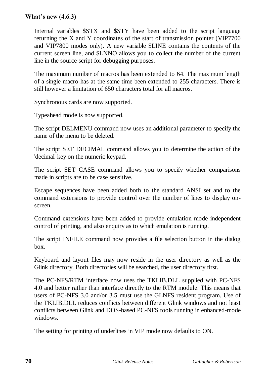#### **What's new (4.6.3)**

Internal variables \$STX and \$STY have been added to the script language returning the X and Y coordinates of the start of transmission pointer (VIP7700 and VIP7800 modes only). A new variable \$LINE contains the contents of the current screen line, and \$LNNO allows you to collect the number of the current line in the source script for debugging purposes.

The maximum number of macros has been extended to 64. The maximum length of a single macro has at the same time been extended to 255 characters. There is still however a limitation of 650 characters total for all macros.

Synchronous cards are now supported.

Typeahead mode is now supported.

The script DELMENU command now uses an additional parameter to specify the name of the menu to be deleted.

The script SET DECIMAL command allows you to determine the action of the 'decimal' key on the numeric keypad.

The script SET CASE command allows you to specify whether comparisons made in scripts are to be case sensitive.

Escape sequences have been added both to the standard ANSI set and to the command extensions to provide control over the number of lines to display onscreen.

Command extensions have been added to provide emulation-mode independent control of printing, and also enquiry as to which emulation is running.

The script INFILE command now provides a file selection button in the dialog box.

Keyboard and layout files may now reside in the user directory as well as the Glink directory. Both directories will be searched, the user directory first.

The PC-NFS/RTM interface now uses the TKLIB.DLL supplied with PC-NFS 4.0 and better rather than interface directly to the RTM module. This means that users of PC-NFS 3.0 and/or 3.5 must use the GLNFS resident program. Use of the TKLIB.DLL reduces conflicts between different Glink windows and not least conflicts between Glink and DOS-based PC-NFS tools running in enhanced-mode windows.

The setting for printing of underlines in VIP mode now defaults to ON.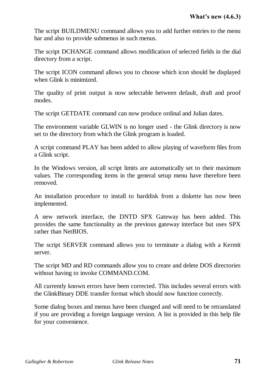The script BUILDMENU command allows you to add further entries to the menu bar and also to provide submenus in such menus.

The script DCHANGE command allows modification of selected fields in the dial directory from a script.

The script ICON command allows you to choose which icon should be displayed when Glink is minimized.

The quality of print output is now selectable between default, draft and proof modes.

The script GETDATE command can now produce ordinal and Julian dates.

The environment variable GLWIN is no longer used - the Glink directory is now set to the directory from which the Glink program is loaded.

A script command PLAY has been added to allow playing of waveform files from a Glink script.

In the Windows version, all script limits are automatically set to their maximum values. The corresponding items in the general setup menu have therefore been removed.

An installation procedure to install to harddisk from a diskette has now been implemented.

A new network interface, the DNTD SPX Gateway has been added. This provides the same functionality as the previous gateway interface but uses SPX rather than NetBIOS.

The script SERVER command allows you to terminate a dialog with a Kermit server.

The script MD and RD commands allow you to create and delete DOS directories without having to invoke COMMAND.COM.

All currently known errors have been corrected. This includes several errors with the GlinkBinary DDE transfer format which should now function correctly.

Some dialog boxes and menus have been changed and will need to be retranslated if you are providing a foreign language version. A list is provided in this help file for your convenience.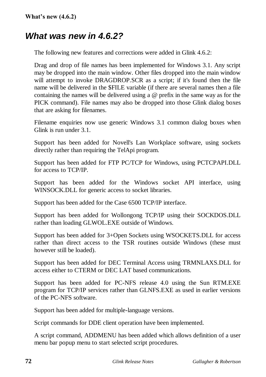#### **What's new (4.6.2)**

#### *What was new in 4.6.2?*

The following new features and corrections were added in Glink 4.6.2:

Drag and drop of file names has been implemented for Windows 3.1. Any script may be dropped into the main window. Other files dropped into the main window will attempt to invoke DRAGDROP.SCR as a script; if it's found then the file name will be delivered in the \$FILE variable (if there are several names then a file containing the names will be delivered using a @ prefix in the same way as for the PICK command). File names may also be dropped into those Glink dialog boxes that are asking for filenames.

Filename enquiries now use generic Windows 3.1 common dialog boxes when Glink is run under 3.1.

Support has been added for Novell's Lan Workplace software, using sockets directly rather than requiring the TelApi program.

Support has been added for FTP PC/TCP for Windows, using PCTCPAPI.DLL for access to TCP/IP.

Support has been added for the Windows socket API interface, using WINSOCK.DLL for generic access to socket libraries.

Support has been added for the Case 6500 TCP/IP interface.

Support has been added for Wollongong TCP/IP using their SOCKDOS.DLL rather than loading GLWOL.EXE outside of Windows.

Support has been added for 3+Open Sockets using WSOCKETS.DLL for access rather than direct access to the TSR routines outside Windows (these must however still be loaded).

Support has been added for DEC Terminal Access using TRMNLAXS.DLL for access either to CTERM or DEC LAT based communications.

Support has been added for PC-NFS release 4.0 using the Sun RTM.EXE program for TCP/IP services rather than GLNFS.EXE as used in earlier versions of the PC-NFS software.

Support has been added for multiple-language versions.

Script commands for DDE client operation have been implemented.

A script command, ADDMENU has been added which allows definition of a user menu bar popup menu to start selected script procedures.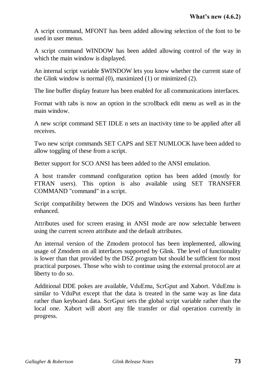A script command, MFONT has been added allowing selection of the font to be used in user menus.

A script command WINDOW has been added allowing control of the way in which the main window is displayed.

An internal script variable \$WINDOW lets you know whether the current state of the Glink window is normal (0), maximized (1) or minimized (2).

The line buffer display feature has been enabled for all communications interfaces.

Format with tabs is now an option in the scrollback edit menu as well as in the main window.

A new script command SET IDLE n sets an inactivity time to be applied after all receives.

Two new script commands SET CAPS and SET NUMLOCK have been added to allow toggling of these from a script.

Better support for SCO ANSI has been added to the ANSI emulation.

A host transfer command configuration option has been added (mostly for FTRAN users). This option is also available using SET TRANSFER COMMAND "command" in a script.

Script compatibility between the DOS and Windows versions has been further enhanced.

Attributes used for screen erasing in ANSI mode are now selectable between using the current screen attribute and the default attributes.

An internal version of the Zmodem protocol has been implemented, allowing usage of Zmodem on all interfaces supported by Glink. The level of functionality is lower than that provided by the DSZ program but should be sufficient for most practical purposes. Those who wish to continue using the external protocol are at liberty to do so.

Additional DDE pokes are available, VduEmu, ScrGput and Xabort. VduEmu is similar to VduPut except that the data is treated in the same way as line data rather than keyboard data. ScrGput sets the global script variable rather than the local one. Xabort will abort any file transfer or dial operation currently in progress.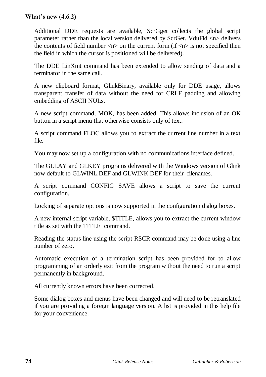#### **What's new (4.6.2)**

Additional DDE requests are available, ScrGget collects the global script parameter rather than the local version delivered by ScrGet. VduFld <n> delivers the contents of field number  $\langle n \rangle$  on the current form (if  $\langle n \rangle$  is not specified then the field in which the cursor is positioned will be delivered).

The DDE LinXmt command has been extended to allow sending of data and a terminator in the same call.

A new clipboard format, GlinkBinary, available only for DDE usage, allows transparent transfer of data without the need for CRLF padding and allowing embedding of ASCII NULs.

A new script command, MOK, has been added. This allows inclusion of an OK button in a script menu that otherwise consists only of text.

A script command FLOC allows you to extract the current line number in a text file.

You may now set up a configuration with no communications interface defined.

The GLLAY and GLKEY programs delivered with the Windows version of Glink now default to GLWINL.DEF and GLWINK.DEF for their filenames.

A script command CONFIG SAVE allows a script to save the current configuration.

Locking of separate options is now supported in the configuration dialog boxes.

A new internal script variable, \$TITLE, allows you to extract the current window title as set with the TITLE command.

Reading the status line using the script RSCR command may be done using a line number of zero.

Automatic execution of a termination script has been provided for to allow programming of an orderly exit from the program without the need to run a script permanently in background.

All currently known errors have been corrected.

Some dialog boxes and menus have been changed and will need to be retranslated if you are providing a foreign language version. A list is provided in this help file for your convenience.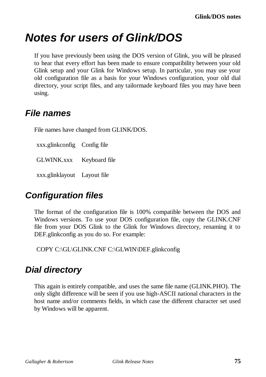# *Notes for users of Glink/DOS*

If you have previously been using the DOS version of Glink, you will be pleased to hear that every effort has been made to ensure compatibility between your old Glink setup and your Glink for Windows setup. In particular, you may use your old configuration file as a basis for your Windows configuration, your old dial directory, your script files, and any tailormade keyboard files you may have been using.

### *File names*

File names have changed from GLINK/DOS.

xxx.glinkconfig Config file

GLWINK.xxx Keyboard file

xxx.glinklayout Layout file

## *Configuration files*

The format of the configuration file is 100% compatible between the DOS and Windows versions. To use your DOS configuration file, copy the GLINK.CNF file from your DOS Glink to the Glink for Windows directory, renaming it to DEF.glinkconfig as you do so. For example:

COPY C:\GL\GLINK.CNF C:\GLWIN\DEF.glinkconfig

# *Dial directory*

This again is entirely compatible, and uses the same file name (GLINK.PHO). The only slight difference will be seen if you use high-ASCII national characters in the host name and/or comments fields, in which case the different character set used by Windows will be apparent.